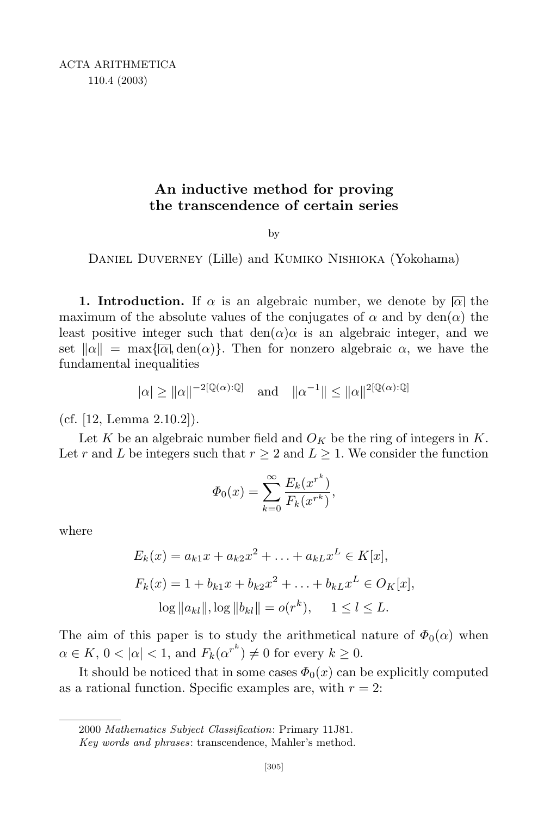## **An inductive method for proving the transcendence of certain series**

by

Daniel Duverney (Lille) and Kumiko Nishioka (Yokohama)

**1. Introduction.** If  $\alpha$  is an algebraic number, we denote by  $\alpha$  the maximum of the absolute values of the conjugates of  $\alpha$  and by den( $\alpha$ ) the least positive integer such that  $den(\alpha)\alpha$  is an algebraic integer, and we set  $\|\alpha\| = \max\{\overline{\alpha}, \text{den}(\alpha)\}\.$  Then for nonzero algebraic  $\alpha$ , we have the fundamental inequalities

$$
|\alpha| \ge ||\alpha||^{-2[\mathbb{Q}(\alpha):\mathbb{Q}]} \text{ and } ||\alpha^{-1}|| \le ||\alpha||^{2[\mathbb{Q}(\alpha):\mathbb{Q}]}
$$

(cf. [12, Lemma 2.10.2]).

Let *K* be an algebraic number field and  $O_K$  be the ring of integers in *K*. Let *r* and *L* be integers such that  $r \geq 2$  and  $L \geq 1$ . We consider the function

$$
\Phi_0(x) = \sum_{k=0}^{\infty} \frac{E_k(x^{r^k})}{F_k(x^{r^k})},
$$

where

$$
E_k(x) = a_{k1}x + a_{k2}x^2 + \dots + a_{kL}x^L \in K[x],
$$
  
\n
$$
F_k(x) = 1 + b_{k1}x + b_{k2}x^2 + \dots + b_{kL}x^L \in O_K[x],
$$
  
\n
$$
\log ||a_{kl}||, \log ||b_{kl}|| = o(r^k), \quad 1 \le l \le L.
$$

The aim of this paper is to study the arithmetical nature of  $\Phi_0(\alpha)$  when  $\alpha \in K$ ,  $0 < |\alpha| < 1$ , and  $F_k(\alpha^{r^k}) \neq 0$  for every  $k \geq 0$ .

It should be noticed that in some cases  $\Phi_0(x)$  can be explicitly computed as a rational function. Specific examples are, with  $r = 2$ :

<sup>2000</sup> *Mathematics Subject Classification*: Primary 11J81.

*Key words and phrases*: transcendence, Mahler's method.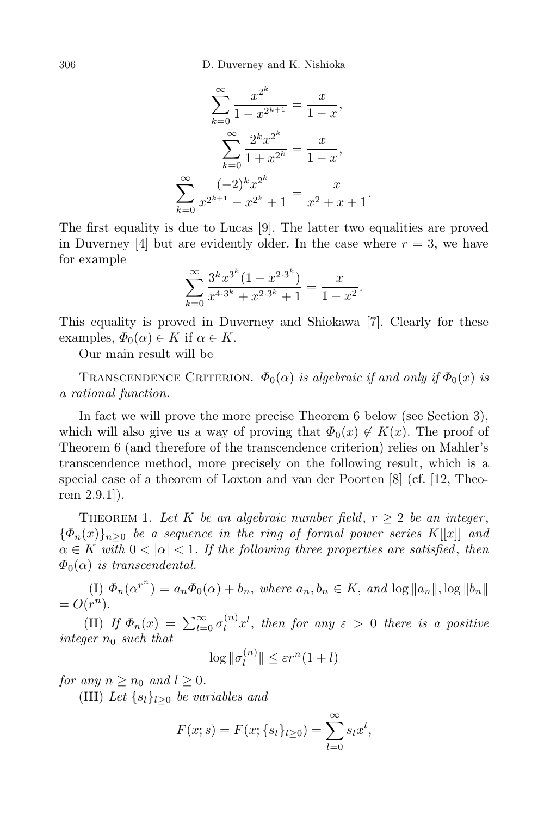306 D. Duverney and K. Nishioka

$$
\sum_{k=0}^{\infty} \frac{x^{2^k}}{1 - x^{2^{k+1}}} = \frac{x}{1 - x},
$$

$$
\sum_{k=0}^{\infty} \frac{2^k x^{2^k}}{1 + x^{2^k}} = \frac{x}{1 - x},
$$

$$
\sum_{k=0}^{\infty} \frac{(-2)^k x^{2^k}}{x^{2^{k+1}} - x^{2^k} + 1} = \frac{x}{x^2 + x + 1}.
$$

The first equality is due to Lucas [9]. The latter two equalities are proved in Duverney [4] but are evidently older. In the case where  $r = 3$ , we have for example

$$
\sum_{k=0}^{\infty} \frac{3^k x^{3^k} (1 - x^{2 \cdot 3^k})}{x^{4 \cdot 3^k} + x^{2 \cdot 3^k} + 1} = \frac{x}{1 - x^2}.
$$

This equality is proved in Duverney and Shiokawa [7]. Clearly for these examples,  $\Phi_0(\alpha) \in K$  if  $\alpha \in K$ .

Our main result will be

TRANSCENDENCE CRITERION.  $\Phi_0(\alpha)$  *is algebraic if and only if*  $\Phi_0(x)$  *is a rational function.*

In fact we will prove the more precise Theorem 6 below (see Section 3), which will also give us a way of proving that  $\Phi_0(x) \notin K(x)$ . The proof of Theorem 6 (and therefore of the transcendence criterion) relies on Mahler's transcendence method, more precisely on the following result, which is a special case of a theorem of Loxton and van der Poorten [8] (cf. [12, Theorem 2.9.1]).

THEOREM 1. Let K be an algebraic number field,  $r \geq 2$  be an integer,  ${\Phi_n(x)}_{n>0}$  *be a sequence in the ring of formal power series K*[[*x*]] *and*  $\alpha \in K$  *with*  $0 < |\alpha| < 1$ . If the following three properties are satisfied, then  $\Phi_0(\alpha)$  *is transcendental.* 

(I)  $\Phi_n(\alpha^{r^n}) = a_n \Phi_0(\alpha) + b_n$ , where  $a_n, b_n \in K$ , and  $\log ||a_n||$ ,  $\log ||b_n||$  $= O(r^n)$ .

(II) *If*  $\Phi_n(x) = \sum_{l=0}^{\infty} \sigma_l^{(n)}$  $\int_l^{(n)} x^l$ , *then for any*  $\varepsilon > 0$  *there is a positive integer n*<sup>0</sup> *such that*

$$
\log \|\sigma_l^{(n)}\| \le \varepsilon r^n (1+l)
$$

*for* any  $n \geq n_0$  and  $l \geq 0$ .

(III) *Let {sl}l≥*<sup>0</sup> *be variables and*

$$
F(x; s) = F(x; \{s_l\}_{l \ge 0}) = \sum_{l=0}^{\infty} s_l x^l,
$$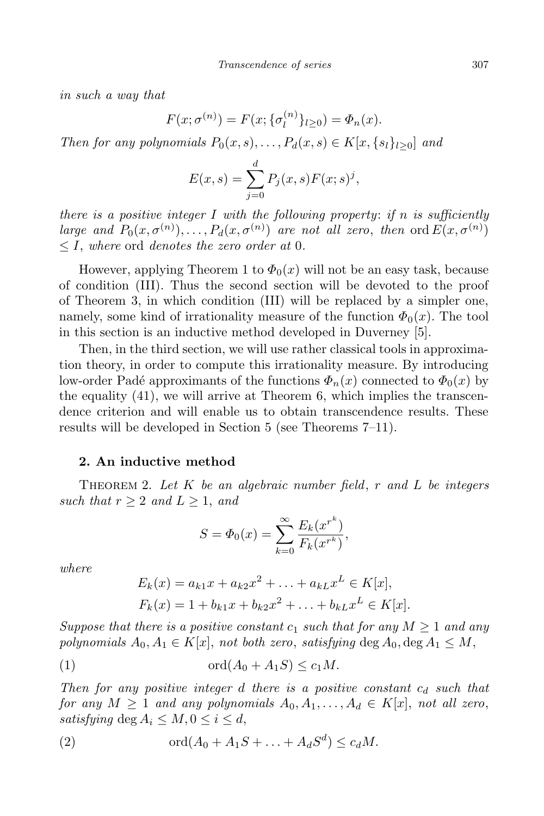*in such a way that*

$$
F(x; \sigma^{(n)}) = F(x; \{\sigma_l^{(n)}\}_{l \ge 0}) = \Phi_n(x).
$$

Then for any polynomials  $P_0(x, s), \ldots, P_d(x, s) \in K[x, \{s_l\}_{l>0}]$  and

$$
E(x, s) = \sum_{j=0}^{d} P_j(x, s) F(x; s)^j,
$$

*there is a positive integer I with the following property*: *if n is sufficiently* large and  $P_0(x, \sigma^{(n)})$ ,...,  $P_d(x, \sigma^{(n)})$  are not all zero, then ord  $E(x, \sigma^{(n)})$ *≤ I*, *where* ord *denotes the zero order at* 0*.*

However, applying Theorem 1 to  $\Phi_0(x)$  will not be an easy task, because of condition (III). Thus the second section will be devoted to the proof of Theorem 3, in which condition (III) will be replaced by a simpler one, namely, some kind of irrationality measure of the function  $\Phi_0(x)$ . The tool in this section is an inductive method developed in Duverney [5].

Then, in the third section, we will use rather classical tools in approximation theory, in order to compute this irrationality measure. By introducing low-order Padé approximants of the functions  $\Phi_n(x)$  connected to  $\Phi_0(x)$  by the equality (41), we will arrive at Theorem 6, which implies the transcendence criterion and will enable us to obtain transcendence results. These results will be developed in Section 5 (see Theorems 7–11).

## **2. An inductive method**

Theorem 2. *Let K be an algebraic number field*, *r and L be integers such that*  $r \geq 2$  *and*  $L \geq 1$ *, and* 

$$
S = \Phi_0(x) = \sum_{k=0}^{\infty} \frac{E_k(x^{r^k})}{F_k(x^{r^k})},
$$

*where*

$$
E_k(x) = a_{k1}x + a_{k2}x^2 + \dots + a_{kL}x^L \in K[x],
$$
  

$$
F_k(x) = 1 + b_{k1}x + b_{k2}x^2 + \dots + b_{kL}x^L \in K[x].
$$

*Suppose that there is a positive constant*  $c_1$  *such that for any*  $M \geq 1$  *and any polynomials*  $A_0, A_1 \in K[x]$ , *not both zero*, *satisfying* deg  $A_0$ , deg  $A_1 \leq M$ ,

$$
(1) \t\t\t ord(A_0 + A_1S) \le c_1M.
$$

*Then for any positive integer d there is a positive constant c<sup>d</sup> such that* for any  $M \ge 1$  and any polynomials  $A_0, A_1, \ldots, A_d \in K[x]$ , not all zero, *satisfying* deg  $A_i \leq M, 0 \leq i \leq d$ ,

(2) 
$$
\qquad \qquad \text{ord}(A_0+A_1S+\ldots+A_dS^d)\leq c_dM.
$$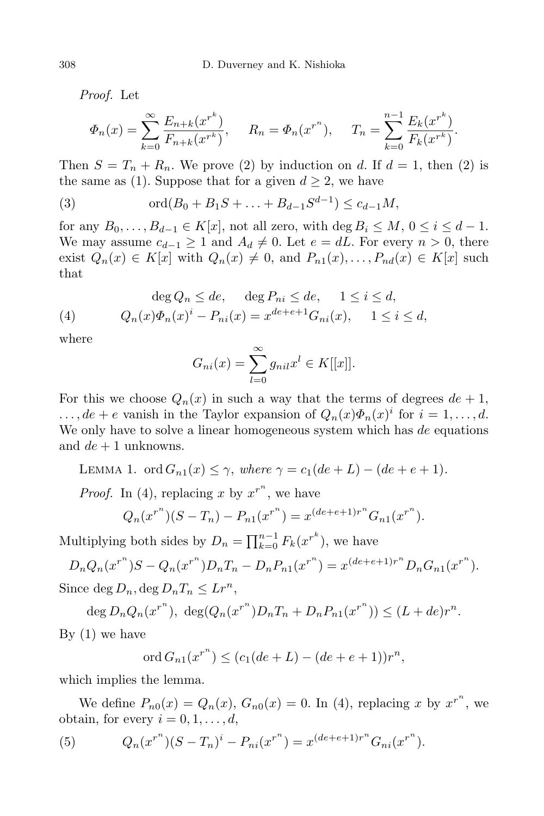*Proof.* Let

$$
\Phi_n(x) = \sum_{k=0}^{\infty} \frac{E_{n+k}(x^{r^k})}{F_{n+k}(x^{r^k})}, \quad R_n = \Phi_n(x^{r^n}), \quad T_n = \sum_{k=0}^{n-1} \frac{E_k(x^{r^k})}{F_k(x^{r^k})}.
$$

Then  $S = T_n + R_n$ . We prove (2) by induction on *d*. If  $d = 1$ , then (2) is the same as (1). Suppose that for a given  $d \geq 2$ , we have

(3) 
$$
\qquad \qquad \text{ord}(B_0 + B_1S + \ldots + B_{d-1}S^{d-1}) \leq c_{d-1}M,
$$

for any  $B_0, \ldots, B_{d-1} \in K[x]$ , not all zero, with  $\deg B_i \leq M, 0 \leq i \leq d-1$ . We may assume  $c_{d-1} \geq 1$  and  $A_d \neq 0$ . Let  $e = dL$ . For every  $n > 0$ , there exist  $Q_n(x) \in K[x]$  with  $Q_n(x) \neq 0$ , and  $P_{n1}(x), \ldots, P_{nd}(x) \in K[x]$  such that

(4) 
$$
\deg Q_n \le de, \quad \deg P_{ni} \le de, \quad 1 \le i \le d,
$$

$$
Q_n(x)\Phi_n(x)^i - P_{ni}(x) = x^{de+e+1}G_{ni}(x), \quad 1 \le i \le d,
$$

where

$$
G_{ni}(x) = \sum_{l=0}^{\infty} g_{ni}x^{l} \in K[[x]].
$$

For this we choose  $Q_n(x)$  in such a way that the terms of degrees  $de + 1$ ,  $\dots$ ,  $de + e$  vanish in the Taylor expansion of  $Q_n(x)\Phi_n(x)^i$  for  $i = 1, \dots, d$ . We only have to solve a linear homogeneous system which has *de* equations and *de* + 1 unknowns.

LEMMA 1. ord 
$$
G_{n1}(x) \leq \gamma
$$
, where  $\gamma = c_1(de+L) - (de + e + 1)$ .

*Proof.* In (4), replacing x by  $x^{r^n}$ , we have

$$
Q_n(x^{r^n})(S - T_n) - P_{n1}(x^{r^n}) = x^{(de + e + 1)r^n} G_{n1}(x^{r^n}).
$$

Multiplying both sides by  $D_n = \prod_{k=0}^{n-1} F_k(x^{r^k})$ , we have

 $D_n Q_n(x^{r^n})S - Q_n(x^{r^n})D_n T_n - D_n P_{n1}(x^{r^n}) = x^{(de+e+1)r^n}D_n G_{n1}(x^{r^n}).$ Since deg  $D_n$ , deg  $D_nT_n \leq Lr^n$ ,

deg  $D_n Q_n(x^{r^n})$ ,  $\deg(Q_n(x^{r^n})D_nT_n + D_nP_{n1}(x^{r^n})) \le (L + de)r^n$ . By  $(1)$  we have

$$
\text{ord}\, G_{n1}(x^{r^n}) \le (c_1(de+L) - (de+e+1))r^n,
$$

which implies the lemma.

We define  $P_{n0}(x) = Q_n(x)$ ,  $G_{n0}(x) = 0$ . In (4), replacing *x* by  $x^{r^n}$ , we obtain, for every  $i = 0, 1, \ldots, d$ ,

(5) 
$$
Q_n(x^{r^n})(S-T_n)^i - P_{ni}(x^{r^n}) = x^{(de+e+1)r^n} G_{ni}(x^{r^n}).
$$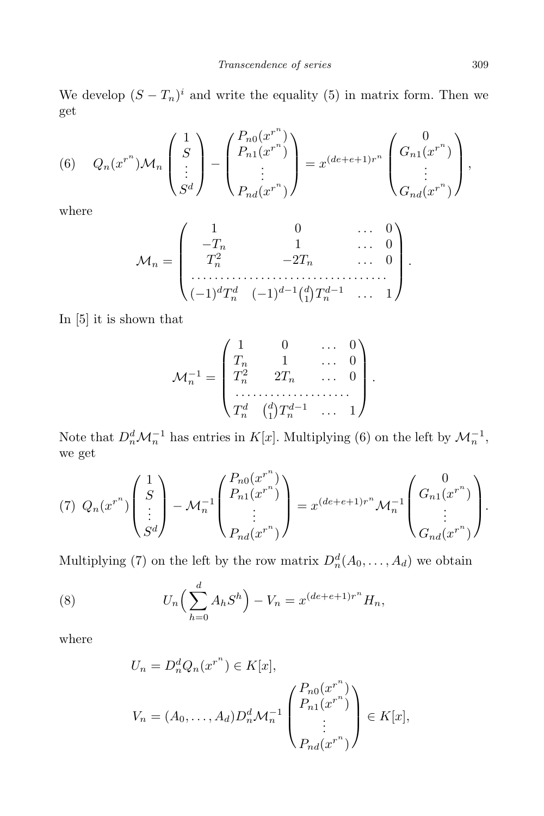We develop  $(S - T_n)^i$  and write the equality (5) in matrix form. Then we get

(6) 
$$
Q_n(x^{r^n})M_n\begin{pmatrix} 1 \ S \ \vdots \ S^d \end{pmatrix} - \begin{pmatrix} P_{n0}(x^{r^n}) \ P_{n1}(x^{r^n}) \ \vdots \ P_{nd}(x^{r^n}) \end{pmatrix} = x^{(de+e+1)r^n} \begin{pmatrix} 0 \ G_{n1}(x^{r^n}) \ \vdots \ G_{nd}(x^{r^n}) \end{pmatrix},
$$

where

$$
\mathcal{M}_n = \begin{pmatrix} 1 & 0 & \dots & 0 \\ -T_n & 1 & & \dots & 0 \\ T_n^2 & -2T_n & & \dots & 0 \\ \dots & \dots & \dots & \dots & \dots \\ (-1)^d T_n^d & (-1)^{d-1} {d \choose 1} T_n^{d-1} & \dots & 1 \end{pmatrix}.
$$

In [5] it is shown that

$$
\mathcal{M}_n^{-1} = \begin{pmatrix} 1 & 0 & \dots & 0 \\ T_n & 1 & \dots & 0 \\ T_n^2 & 2T_n & \dots & 0 \\ \dots & \dots & \dots & \dots \\ T_n^d & {d \choose 1} T_n^{d-1} & \dots & 1 \end{pmatrix}.
$$

Note that  $D_n^d \mathcal{M}_n^{-1}$  has entries in  $K[x]$ . Multiplying (6) on the left by  $\mathcal{M}_n^{-1}$ , we get

$$
(7) \ Q_n(x^{r^n})\begin{pmatrix} 1\\ S\\ \vdots\\ S^d \end{pmatrix} - \mathcal{M}_n^{-1} \begin{pmatrix} P_{n0}(x^{r^n})\\ P_{n1}(x^{r^n})\\ \vdots\\ P_{nd}(x^{r^n}) \end{pmatrix} = x^{(de+e+1)r^n} \mathcal{M}_n^{-1} \begin{pmatrix} 0\\ G_{n1}(x^{r^n})\\ \vdots\\ G_{nd}(x^{r^n}) \end{pmatrix}.
$$

Multiplying (7) on the left by the row matrix  $D_n^d(A_0, \ldots, A_d)$  we obtain

(8) 
$$
U_n\Big(\sum_{h=0}^d A_h S^h\Big) - V_n = x^{(de+e+1)r^n} H_n,
$$

where

$$
U_n = D_n^d Q_n(x^{r^n}) \in K[x],
$$
  
\n
$$
V_n = (A_0, \dots, A_d) D_n^d \mathcal{M}_n^{-1} \begin{pmatrix} P_{n0}(x^{r^n}) \ P_{n1}(x^{r^n}) \ \vdots \ P_{nd}(x^{r^n}) \end{pmatrix} \in K[x],
$$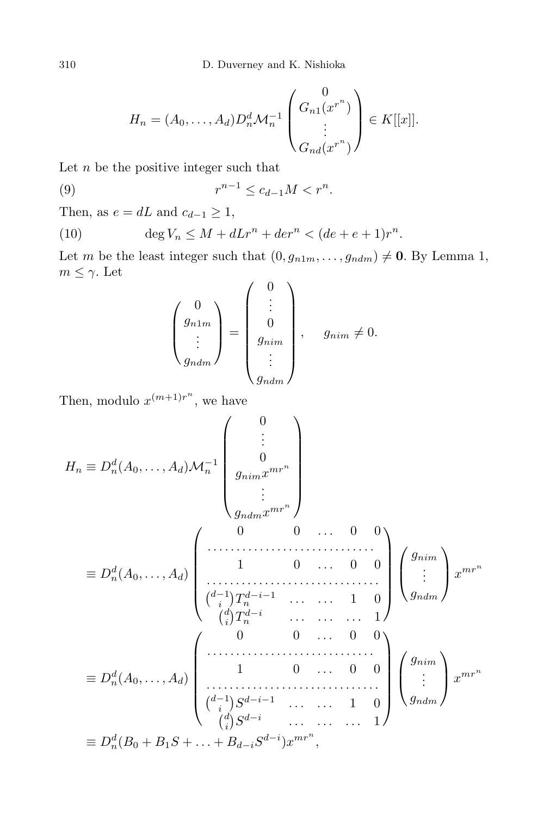$$
H_n = (A_0, \dots, A_d) D_n^d \mathcal{M}_n^{-1} \begin{pmatrix} 0 \\ G_{n1}(x^{r^n}) \\ \vdots \\ G_{nd}(x^{r^n}) \end{pmatrix} \in K[[x]].
$$

Let *n* be the positive integer such that

(9) 
$$
r^{n-1} \le c_{d-1} M < r^n.
$$

Then, as  $e = dL$  and  $c_{d-1} \geq 1$ ,

(10) 
$$
\deg V_n \leq M + dLr^n + der^n < (de + e + 1)r^n.
$$

Let *m* be the least integer such that  $(0, g_{n1m}, \ldots, g_{ndm}) \neq \mathbf{0}$ . By Lemma 1,  $m \leq \gamma$ . Let

$$
\begin{pmatrix} 0 \\ g_{n1m} \\ \vdots \\ g_{ndm} \end{pmatrix} = \begin{pmatrix} 0 \\ \vdots \\ 0 \\ g_{nim} \\ \vdots \\ g_{ndm} \end{pmatrix}, \quad g_{nim} \neq 0.
$$

Then, modulo  $x^{(m+1)r^n}$ , we have

$$
H_n \equiv D_n^d(A_0, \dots, A_d) \mathcal{M}_n^{-1} \begin{pmatrix} 0 \\ \vdots \\ 0 \\ g_{nim} x^{mr^n} \\ \vdots \\ g_{ndm} x^{mr^n} \end{pmatrix}
$$
  
\n
$$
\equiv D_n^d(A_0, \dots, A_d) \begin{pmatrix} 0 & 0 & \dots & 0 & 0 \\ \dots & \dots & \dots & \dots & 0 & 0 \\ \dots & \dots & \dots & \dots & \dots & 0 \\ \dots & \dots & \dots & \dots & \dots & 1 \\ \vdots & \vdots & \vdots & \vdots \\ \vdots & \vdots & \vdots \\ \vdots & \vdots & \vdots \\ \vdots & \vdots & \vdots \\ \vdots & \vdots & \vdots \\ \vdots & \vdots & \vdots \\ \vdots & \vdots & \vdots \\ \vdots & \vdots & \vdots \\ \vdots & \vdots & \vdots \\ \vdots & \vdots & \vdots \\ \vdots & \vdots & \vdots \\ g_{ndm} \end{pmatrix} x^{mr^n}
$$
  
\n
$$
\equiv D_n^d(B_0 + B_1S + \dots + B_{d-i}S^{d-i}) x^{mr^n},
$$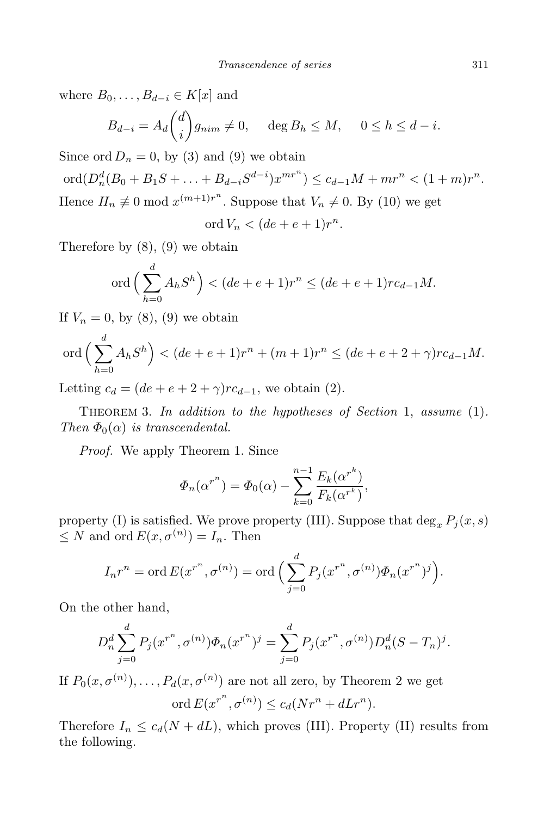where  $B_0, \ldots, B_{d-i} \in K[x]$  and

$$
B_{d-i} = A_d \binom{d}{i} g_{nim} \neq 0, \quad \deg B_h \leq M, \quad 0 \leq h \leq d-i.
$$

Since ord  $D_n = 0$ , by (3) and (9) we obtain

ord $(D_n^d(B_0 + B_1S + \ldots + B_{d-i}S^{d-i})x^{mr^n}) \leq c_{d-1}M + mr^n < (1+m)r^n$ . Hence  $H_n \not\equiv 0 \mod x^{(m+1)r^n}$ . Suppose that  $V_n \not\equiv 0$ . By (10) we get

$$
\operatorname{ord} V_n < (de + e + 1)r^n.
$$

Therefore by  $(8)$ ,  $(9)$  we obtain

$$
\text{ord}\left(\sum_{h=0}^{d} A_h S^h\right) < (de + e + 1)r^n \leq (de + e + 1)rc_{d-1}M.
$$

If  $V_n = 0$ , by (8), (9) we obtain

$$
\text{ord}\left(\sum_{h=0}^d A_h S^h\right) < (de + e + 1)r^n + (m+1)r^n \leq (de + e + 2 + \gamma)rc_{d-1}M.
$$

Letting  $c_d = (de + e + 2 + \gamma)rc_{d-1}$ , we obtain (2).

Theorem 3. *In addition to the hypotheses of Section* 1, *assume* (1)*. Then*  $\Phi_0(\alpha)$  *is transcendental.* 

*Proof.* We apply Theorem 1. Since

$$
\Phi_n(\alpha^{r^n}) = \Phi_0(\alpha) - \sum_{k=0}^{n-1} \frac{E_k(\alpha^{r^k})}{F_k(\alpha^{r^k})},
$$

property (I) is satisfied. We prove property (III). Suppose that  $\deg_x P_i(x, s)$  $\leq N$  and ord  $E(x, \sigma^{(n)}) = I_n$ . Then

$$
I_n r^n = \operatorname{ord} E(x^{r^n}, \sigma^{(n)}) = \operatorname{ord} \Big( \sum_{j=0}^d P_j(x^{r^n}, \sigma^{(n)}) \Phi_n(x^{r^n})^j \Big).
$$

On the other hand,

$$
D_n^d \sum_{j=0}^d P_j(x^{r^n}, \sigma^{(n)}) \Phi_n(x^{r^n})^j = \sum_{j=0}^d P_j(x^{r^n}, \sigma^{(n)}) D_n^d (S - T_n)^j.
$$

If  $P_0(x, \sigma^{(n)})$ ,  $\dots$ ,  $P_d(x, \sigma^{(n)})$  are not all zero, by Theorem 2 we get

$$
\operatorname{ord} E(x^{r^n}, \sigma^{(n)}) \le c_d(Nr^n + dLr^n).
$$

Therefore  $I_n \leq c_d(N + dL)$ , which proves (III). Property (II) results from the following.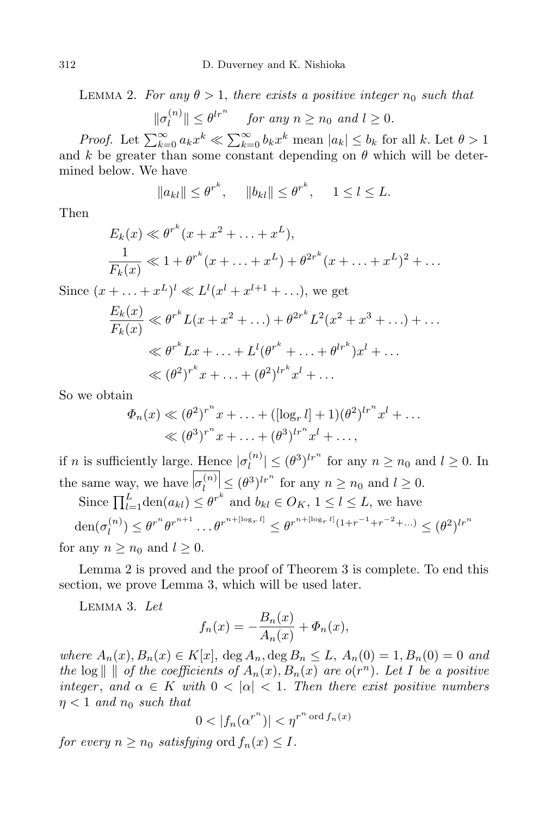LEMMA 2. For any  $\theta > 1$ , there exists a positive integer  $n_0$  such that

$$
\|\sigma_l^{(n)}\| \le \theta^{lr^n} \quad \text{ for any } n \ge n_0 \text{ and } l \ge 0.
$$

*Proof.* Let  $\sum_{k=0}^{\infty} a_k x^k \ll \sum_{k=0}^{\infty} b_k x^k$  mean  $|a_k| \leq b_k$  for all k. Let  $\theta > 1$ and *k* be greater than some constant depending on  $\theta$  which will be determined below. We have

$$
||a_{kl}|| \leq \theta^{r^k}, \quad ||b_{kl}|| \leq \theta^{r^k}, \quad 1 \leq l \leq L.
$$

Then

$$
E_k(x) \ll \theta^{r^k}(x + x^2 + \dots + x^L),
$$
  
\n
$$
\frac{1}{F_k(x)} \ll 1 + \theta^{r^k}(x + \dots + x^L) + \theta^{2r^k}(x + \dots + x^L)^2 + \dots
$$

Since  $(x + \ldots + x^L)^l \ll L^l(x^l + x^{l+1} + \ldots)$ , we get

$$
\frac{E_k(x)}{F_k(x)} \ll \theta^{r^k} L(x + x^2 + ...) + \theta^{2r^k} L^2(x^2 + x^3 + ...) + ...
$$
  

$$
\ll \theta^{r^k} Lx + ... + L^l(\theta^{r^k} + ... + \theta^{lr^k})x^l + ...
$$
  

$$
\ll (\theta^2)^{r^k} x + ... + (\theta^2)^{lr^k} x^l + ...
$$

So we obtain

$$
\Phi_n(x) \ll (\theta^2)^{r^n} x + \ldots + ([\log_r l] + 1)(\theta^2)^{lr^n} x^l + \ldots < (\theta^3)^{r^n} x + \ldots + (\theta^3)^{lr^n} x^l + \ldots,
$$

if *n* is sufficiently large. Hence  $| \sigma_l^{(n)} \rangle$  $\left| \frac{n}{l} \right| \leq (\theta^3)^{lr^n}$  for any  $n \geq n_0$  and  $l \geq 0$ . In the same way, we have  $|\sigma_l^{(n)}| \leq (\theta^3)^{l r^n}$  for any  $n \geq n_0$  and  $l \geq 0$ .

Since  $\prod_{l=1}^{L} \text{den}(a_{kl}) \leq \theta^{r^k}$  and  $b_{kl} \in O_K$ ,  $1 \leq l \leq L$ , we have  $\text{den}(\sigma_l^{(n)})$  $\theta^{(n)}_l \leq \theta^{r^n} \theta^{r^{n+1}} \dots \theta^{r^{n+\lfloor \log_r l \rfloor}} \leq \theta^{r^{n+\lfloor \log_r l \rfloor}(1+r^{-1}+r^{-2}+\dots)} \leq (\theta^2)^{lr^n}$ for any  $n \geq n_0$  and  $l \geq 0$ .

Lemma 2 is proved and the proof of Theorem 3 is complete. To end this section, we prove Lemma 3, which will be used later.

Lemma 3. *Let*

$$
f_n(x) = -\frac{B_n(x)}{A_n(x)} + \Phi_n(x),
$$

where  $A_n(x), B_n(x) \in K[x]$ , deg  $A_n$ , deg  $B_n \leq L$ ,  $A_n(0) = 1$ ,  $B_n(0) = 0$  and the log  $\parallel \ \parallel$  of the coefficients of  $A_n(x)$ ,  $B_n(x)$  are  $o(r^n)$ . Let I be a positive *integer*, and  $\alpha \in K$  *with*  $0 < |\alpha| < 1$ *. Then there exist positive numbers*  $\eta$  < 1 *and*  $n_0$  *such that* 

$$
0 < |f_n(\alpha^{r^n})| < \eta^{r^n \text{ ord } f_n(x)}
$$

*for every*  $n \geq n_0$  *satisfying* ord  $f_n(x) \leq I$ *.*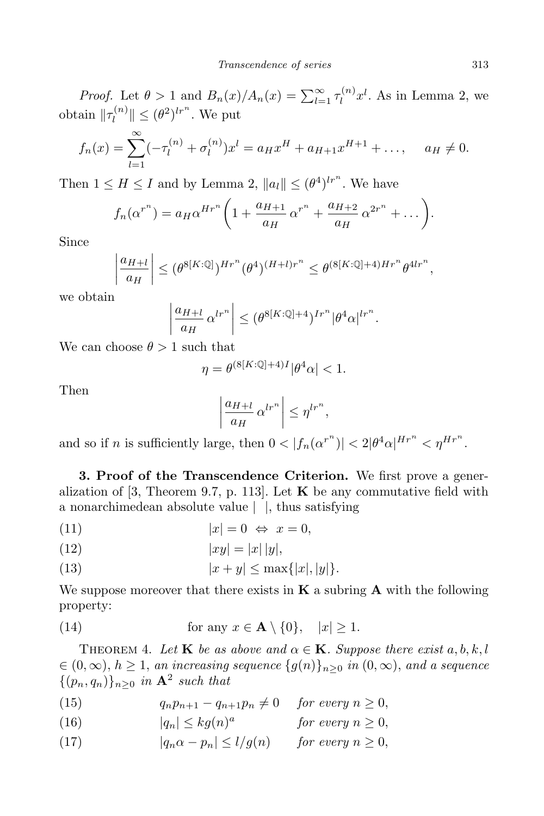*Proof.* Let  $\theta > 1$  and  $B_n(x)/A_n(x) = \sum_{l=1}^{\infty} \tau_l^{(n)}$  $\int_l^{(n)} x^l$ . As in Lemma 2, we obtain  $\|\tau_l^{(n)}\|$  $\left| \int_l^{(n)} \| \leq (\theta^2)^{lr^n}$ . We put

$$
f_n(x) = \sum_{l=1}^{\infty} (-\tau_l^{(n)} + \sigma_l^{(n)}) x^l = a_H x^H + a_{H+1} x^{H+1} + \dots, \quad a_H \neq 0.
$$

Then  $1 \leq H \leq I$  and by Lemma 2,  $||a_l|| \leq (\theta^4)^{lr^n}$ . We have

$$
f_n(\alpha^{r^n}) = a_H \alpha^{Hr^n} \left(1 + \frac{a_{H+1}}{a_H} \alpha^{r^n} + \frac{a_{H+2}}{a_H} \alpha^{2r^n} + \dots \right).
$$

Since

$$
\left|\frac{a_{H+l}}{a_H}\right| \leq (\theta^{8[K:\mathbb{Q}]} )^{Hr^n} (\theta^4)^{(H+l)r^n} \leq \theta^{(8[K:\mathbb{Q}]+4)Hr^n} \theta^{4lr^n},
$$

we obtain

$$
\left|\frac{a_{H+l}}{a_H} \alpha^{lr^n}\right| \leq (\theta^{8[K:\mathbb{Q}]+4})^{Ir^n} |\theta^4 \alpha|^{lr^n}.
$$

We can choose  $\theta > 1$  such that

$$
\eta = \theta^{(8[K:\mathbb{Q}]+4)I} |\theta^4 \alpha| < 1.
$$

Then

$$
\left|\frac{a_{H+l}}{a_H} \alpha^{lr^n}\right| \leq \eta^{lr^n},
$$

and so if *n* is sufficiently large, then  $0 < |f_n(\alpha^{r^n})| < 2|\theta^4\alpha|^{Hr^n} < \eta^{Hr^n}$ .

**3. Proof of the Transcendence Criterion.** We first prove a generalization of  $[3,$  Theorem 9.7, p. 113. Let **K** be any commutative field with a nonarchimedean absolute value *| |*, thus satisfying

(11)  $|x| = 0 \Leftrightarrow x = 0$ ,

(12) 
$$
|xy| = |x| |y|,
$$

(13) 
$$
|x + y| \le \max\{|x|, |y|\}.
$$

We suppose moreover that there exists in **K** a subring **A** with the following property:

(14) for any 
$$
x \in \mathbf{A} \setminus \{0\}
$$
,  $|x| \ge 1$ .

THEOREM 4. Let **K** be as above and  $\alpha \in \mathbf{K}$ . Suppose there exist  $a, b, k, l$  $\in (0,\infty), h \geq 1$ , an increasing sequence  $\{g(n)\}_{n\geq 0}$  in  $(0,\infty)$ , and a sequence  ${(p_n, q_n)}_{n \geq 0}$  *in*  $\mathbf{A}^2$  *such that* 

(15)  $q_n p_{n+1} - q_{n+1} p_n \neq 0$  *for every*  $n \geq 0$ ,

(16) 
$$
|q_n| \leq k g(n)^a \qquad \text{for every } n \geq 0,
$$

(17)  $|q_n \alpha - p_n| \le l/g(n)$  *for every*  $n \ge 0$ ,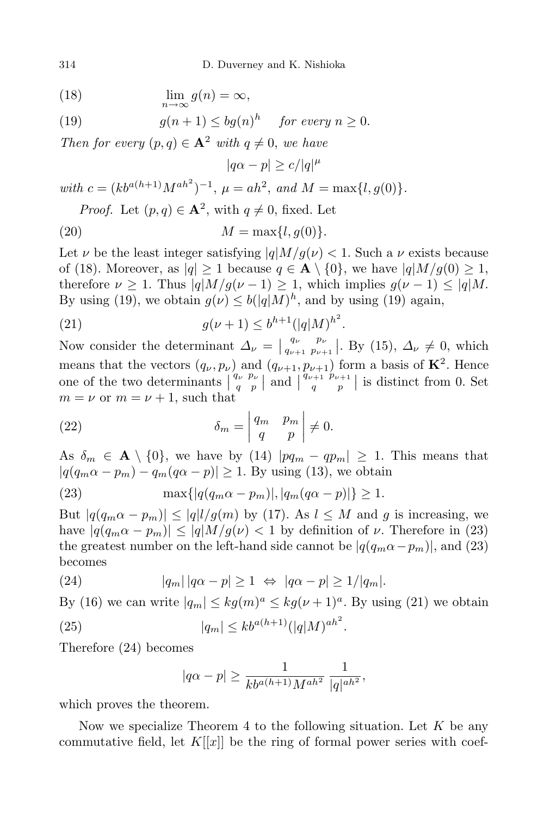314 D. Duverney and K. Nishioka

(18) 
$$
\lim_{n \to \infty} g(n) = \infty,
$$

(19) 
$$
g(n+1) \le bg(n)^h \quad \text{for every } n \ge 0.
$$

*Then for every*  $(p, q) \in \mathbf{A}^2$  *with*  $q \neq 0$ *, we have* 

 $|q\alpha - p| \geq c/|q|^{\mu}$ 

 $with \ c = (kb^{a(h+1)}M^{ah^2})^{-1}, \ \mu = ah^2, \ and \ M = \max\{l, g(0)\}.$ *Proof.* Let  $(p, q) \in \mathbf{A}^2$ , with  $q \neq 0$ , fixed. Let

(20) 
$$
M = \max\{l, g(0)\}.
$$

Let *ν* be the least integer satisfying  $|q|M/g(\nu)| < 1$ . Such a *ν* exists because of (18). Moreover, as  $|q| \geq 1$  because  $q \in \mathbf{A} \setminus \{0\}$ , we have  $|q|M/g(0) \geq 1$ , therefore  $\nu \geq 1$ . Thus  $|q|M/g(\nu-1) \geq 1$ , which implies  $g(\nu-1) \leq |q|M$ . By using (19), we obtain  $g(\nu) \le b(|q|M)^h$ , and by using (19) again,

(21) 
$$
g(\nu+1) \leq b^{h+1} (|q|M)^{h^2}.
$$

Now consider the determinant  $\Delta_{\nu} = \begin{vmatrix} q_{\nu} & p_{\nu} \\ q_{\nu+1} & p_{\nu+1} \end{vmatrix}$  $q_{\nu+1}^{q_{\nu}} p_{\nu+1}^{p_{\nu}}$ . By (15),  $\Delta_{\nu} \neq 0$ , which means that the vectors  $(q_{\nu}, p_{\nu})$  and  $(q_{\nu+1}, p_{\nu+1})$  form a basis of  $\mathbf{K}^2$ . Hence one of the two determinants  $\begin{pmatrix} q_{\nu} & p_{\nu} \\ q & p \end{pmatrix}$  $\begin{array}{c} q \nu p \nu \\ q p \end{array}$  and  $\begin{array}{c} q \nu + 1 \nu p \nu + 1 \\ q p \end{array}$  $\left\lfloor \frac{p_{\nu+1}}{q} \right\rfloor$  is distinct from 0. Set  $m = \nu$  or  $m = \nu + 1$ , such that

(22) 
$$
\delta_m = \begin{vmatrix} q_m & p_m \\ q & p \end{vmatrix} \neq 0.
$$

As  $\delta_m \in \mathbf{A} \setminus \{0\}$ , we have by (14)  $|pq_m - qp_m| \geq 1$ . This means that  $|q(q_m\alpha - p_m) - q_m(q\alpha - p)| \geq 1$ . By using (13), we obtain

(23) 
$$
\max\{|q(q_m\alpha - p_m)|, |q_m(q\alpha - p)|\} \ge 1.
$$

But  $|q(q_m \alpha - p_m)| \leq |q| l / g(m)$  by (17). As  $l \leq M$  and *g* is increasing, we have  $|q(q_m\alpha - p_m)| \leq |q|M/g(\nu)| < 1$  by definition of  $\nu$ . Therefore in (23) the greatest number on the left-hand side cannot be  $|q(q_m\alpha - p_m)|$ , and (23) becomes

(24) 
$$
|q_m| |q\alpha - p| \ge 1 \Leftrightarrow |q\alpha - p| \ge 1/|q_m|.
$$

By (16) we can write  $|q_m| \leq k g(m)^a \leq k g(\nu+1)^a$ . By using (21) we obtain

(25) 
$$
|q_m| \le k b^{a(h+1)} (|q|M)^{ah^2}.
$$

Therefore (24) becomes

$$
|q\alpha - p| \ge \frac{1}{kb^{a(h+1)}M^{ah^2}} \frac{1}{|q|^{ah^2}},
$$

which proves the theorem.

Now we specialize Theorem 4 to the following situation. Let *K* be any commutative field, let  $K[[x]]$  be the ring of formal power series with coef-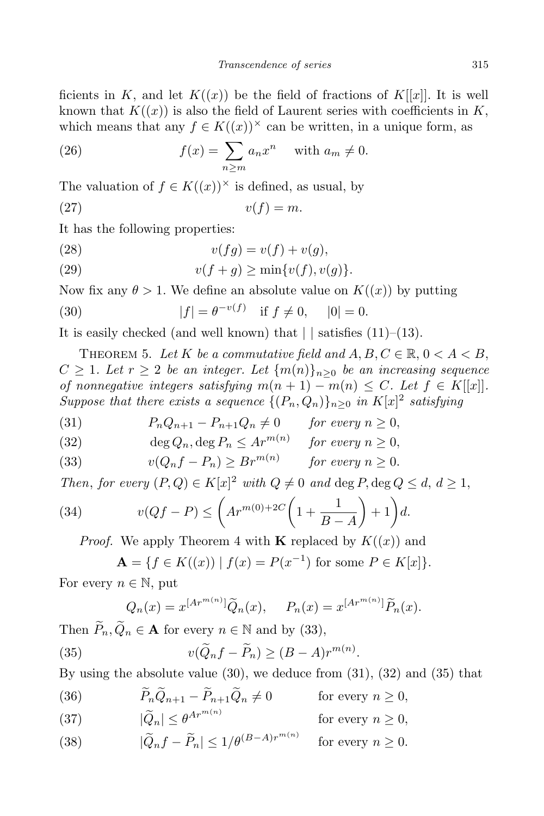ficients in *K*, and let  $K((x))$  be the field of fractions of  $K[[x]]$ . It is well known that  $K((x))$  is also the field of Laurent series with coefficients in  $K$ , which means that any  $f \in K((x))^\times$  can be written, in a unique form, as

(26) 
$$
f(x) = \sum_{n \ge m} a_n x^n \quad \text{with } a_m \ne 0.
$$

The valuation of  $f \in K((x))^\times$  is defined, as usual, by

$$
(27) \t\t v(f) = m.
$$

It has the following properties:

$$
(28) \t v(fg) = v(f) + v(g),
$$

(29) 
$$
v(f+g) \geq \min\{v(f), v(g)\}.
$$

Now fix any  $\theta > 1$ . We define an absolute value on  $K((x))$  by putting

(30) 
$$
|f| = \theta^{-v(f)}
$$
 if  $f \neq 0$ ,  $|0| = 0$ .

It is easily checked (and well known) that *| |* satisfies (11)–(13).

THEOREM 5. Let K be a commutative field and  $A, B, C \in \mathbb{R}, 0 < A < B$ ,  $C \geq 1$ *. Let*  $r \geq 2$  *be an integer. Let*  $\{m(n)\}_{n>0}$  *be an increasing sequence of nonnegative integers satisfying*  $m(n + 1) - m(n) \leq C$ *. Let*  $f \in K[[x]]$ *. Suppose that there exists a sequence*  $\{(P_n, Q_n)\}_{n\geq 0}$  *in*  $K[x]^2$  *satisfying* 

(31) 
$$
P_n Q_{n+1} - P_{n+1} Q_n \neq 0 \quad \text{for every } n \geq 0,
$$

(32) 
$$
\deg Q_n, \deg P_n \leq Ar^{m(n)} \quad \text{for every } n \geq 0,
$$

(33) 
$$
v(Q_n f - P_n) \geq Br^{m(n)} \quad \text{for every } n \geq 0.
$$

*Then, for every*  $(P,Q) \in K[x]^2$  *with*  $Q \neq 0$  *and* deg  $P$ , deg  $Q \leq d$ ,  $d \geq 1$ ,

(34) 
$$
v(Qf-P) \leq \left( Ar^{m(0)+2C} \left(1+\frac{1}{B-A}\right)+1\right) d.
$$

*Proof.* We apply Theorem 4 with **K** replaced by  $K((x))$  and

$$
\mathbf{A} = \{ f \in K((x)) \mid f(x) = P(x^{-1}) \text{ for some } P \in K[x] \}.
$$

For every  $n \in \mathbb{N}$ , put

$$
Q_n(x) = x^{[Ar^{m(n)}]} \widetilde{Q}_n(x), \quad P_n(x) = x^{[Ar^{m(n)}]} \widetilde{P}_n(x).
$$

Then  $\widetilde{P}_n, \widetilde{Q}_n \in \mathbf{A}$  for every  $n \in \mathbb{N}$  and by (33),

(35) 
$$
v(\widetilde{Q}_n f - \widetilde{P}_n) \ge (B - A)r^{m(n)}.
$$

By using the absolute value (30), we deduce from (31), (32) and (35) that

*(36)*  $\widetilde{P}_n \widetilde{Q}_{n+1} - \widetilde{P}_{n+1} \widetilde{Q}_n \neq 0$  for every  $n \geq 0$ ,

(37) 
$$
|\tilde{Q}_n| \leq \theta^{Ar^{m(n)}} \qquad \text{for every } n \geq 0,
$$

(38) 
$$
|\tilde{Q}_n f - \tilde{P}_n| \le 1/\theta^{(B-A)r^{m(n)}} \text{ for every } n \ge 0.
$$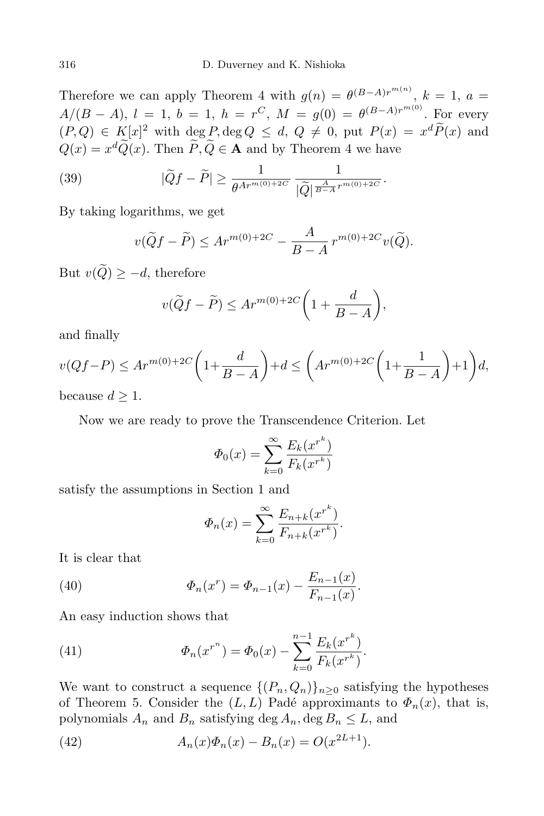Therefore we can apply Theorem 4 with  $g(n) = \theta^{(B-A)r^{m(n)}}$ ,  $k = 1$ ,  $a =$ *A/*(*B* − *A*), *l* = 1, *b* = 1, *h* = *r*<sup>*C*</sup>, *M* = *g*(0) =  $\theta^{(B-A)r^{m(0)}}$ . For every  $(P,Q) \in K[x]^2$  with  $\deg P$ ,  $\deg Q \leq d$ ,  $Q \neq 0$ , put  $P(x) = x^d P(x)$  and  $Q(x) = x^d Q(x)$ . Then  $P, Q \in \mathbf{A}$  and by Theorem 4 we have

(39) 
$$
|\tilde{Q}f - \tilde{P}| \ge \frac{1}{\theta^{Ar^{m(0)+2C}}} \frac{1}{|\tilde{Q}|^{\frac{A}{B-A}r^{m(0)+2C}}}.
$$

By taking logarithms, we get

$$
v(\widetilde{Q}f - \widetilde{P}) \le Ar^{m(0) + 2C} - \frac{A}{B - A} r^{m(0) + 2C} v(\widetilde{Q}).
$$

But  $v(\widetilde{Q}) \geq -d$ , therefore

$$
v(\widetilde{Q}f - \widetilde{P}) \le Ar^{m(0) + 2C} \left( 1 + \frac{d}{B - A} \right),
$$

and finally

$$
v(Qf-P) \le Ar^{m(0)+2C}\left(1+\frac{d}{B-A}\right)+d \le \left( Ar^{m(0)+2C}\left(1+\frac{1}{B-A}\right)+1\right)d,
$$

because  $d \geq 1$ .

Now we are ready to prove the Transcendence Criterion. Let

$$
\Phi_0(x) = \sum_{k=0}^{\infty} \frac{E_k(x^{r^k})}{F_k(x^{r^k})}
$$

satisfy the assumptions in Section 1 and

$$
\Phi_n(x) = \sum_{k=0}^{\infty} \frac{E_{n+k}(x^{r^k})}{F_{n+k}(x^{r^k})}.
$$

It is clear that

(40) 
$$
\Phi_n(x^r) = \Phi_{n-1}(x) - \frac{E_{n-1}(x)}{F_{n-1}(x)}.
$$

An easy induction shows that

(41) 
$$
\Phi_n(x^{r^n}) = \Phi_0(x) - \sum_{k=0}^{n-1} \frac{E_k(x^{r^k})}{F_k(x^{r^k})}.
$$

We want to construct a sequence  $\{(P_n, Q_n)\}_{n>0}$  satisfying the hypotheses of Theorem 5. Consider the  $(L, L)$  Padé approximants to  $\Phi_n(x)$ , that is, polynomials  $A_n$  and  $B_n$  satisfying deg  $A_n$ , deg  $B_n \leq L$ , and

(42) 
$$
A_n(x)\Phi_n(x) - B_n(x) = O(x^{2L+1}).
$$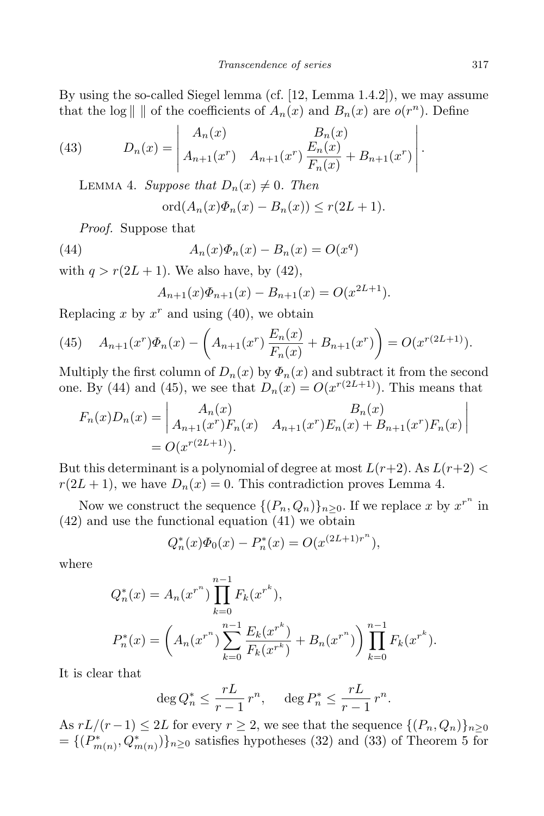By using the so-called Siegel lemma (cf. [12, Lemma 1.4.2]), we may assume that the log  $\| \text{ } \|$  of the coefficients of  $A_n(x)$  and  $B_n(x)$  are  $o(r^n)$ . Define

(43) 
$$
D_n(x) = \begin{vmatrix} A_n(x) & B_n(x) \\ A_{n+1}(x^r) & A_{n+1}(x^r) \frac{E_n(x)}{F_n(x)} + B_{n+1}(x^r) \end{vmatrix}.
$$

LEMMA 4. *Suppose that*  $D_n(x) \neq 0$ *. Then* 

$$
\mathrm{ord}(A_n(x)\Phi_n(x)-B_n(x))\leq r(2L+1).
$$

*Proof.* Suppose that

(44) 
$$
A_n(x)\Phi_n(x) - B_n(x) = O(x^q)
$$

with  $q > r(2L + 1)$ . We also have, by (42),

$$
A_{n+1}(x)\Phi_{n+1}(x) - B_{n+1}(x) = O(x^{2L+1}).
$$

Replacing  $x$  by  $x^r$  and using (40), we obtain

(45) 
$$
A_{n+1}(x^r)\Phi_n(x) - \left(A_{n+1}(x^r)\frac{E_n(x)}{F_n(x)} + B_{n+1}(x^r)\right) = O(x^{r(2L+1)}).
$$

Multiply the first column of  $D_n(x)$  by  $\Phi_n(x)$  and subtract it from the second one. By (44) and (45), we see that  $D_n(x) = O(x^{r(2L+1)})$ . This means that

$$
F_n(x)D_n(x) = \begin{vmatrix} A_n(x) & B_n(x) \\ A_{n+1}(x^r)F_n(x) & A_{n+1}(x^r)E_n(x) + B_{n+1}(x^r)F_n(x) \end{vmatrix}
$$
  
=  $O(x^{r(2L+1)}).$ 

But this determinant is a polynomial of degree at most  $L(r+2)$ . As  $L(r+2)$  $r(2L+1)$ , we have  $D_n(x) = 0$ . This contradiction proves Lemma 4.

Now we construct the sequence  $\{(P_n, Q_n)\}_{n\geq 0}$ . If we replace *x* by  $x^{r^n}$  in (42) and use the functional equation (41) we obtain

$$
Q_n^*(x)\Phi_0(x) - P_n^*(x) = O(x^{(2L+1)r^n}),
$$

where

$$
Q_n^*(x) = A_n(x^{r^n}) \prod_{k=0}^{n-1} F_k(x^{r^k}),
$$
  
\n
$$
P_n^*(x) = \left(A_n(x^{r^n}) \sum_{k=0}^{n-1} \frac{E_k(x^{r^k})}{F_k(x^{r^k})} + B_n(x^{r^n})\right) \prod_{k=0}^{n-1} F_k(x^{r^k}).
$$

It is clear that

$$
\deg Q_n^* \le \frac{rL}{r-1} r^n, \quad \deg P_n^* \le \frac{rL}{r-1} r^n.
$$

As  $rL/(r-1) \leq 2L$  for every  $r \geq 2$ , we see that the sequence  $\{(P_n, Q_n)\}_{n \geq 0}$  $= \{ (P_{m(n)}^*, Q_{m(n)}^*) \}_{n \geq 0}$  satisfies hypotheses (32) and (33) of Theorem 5 for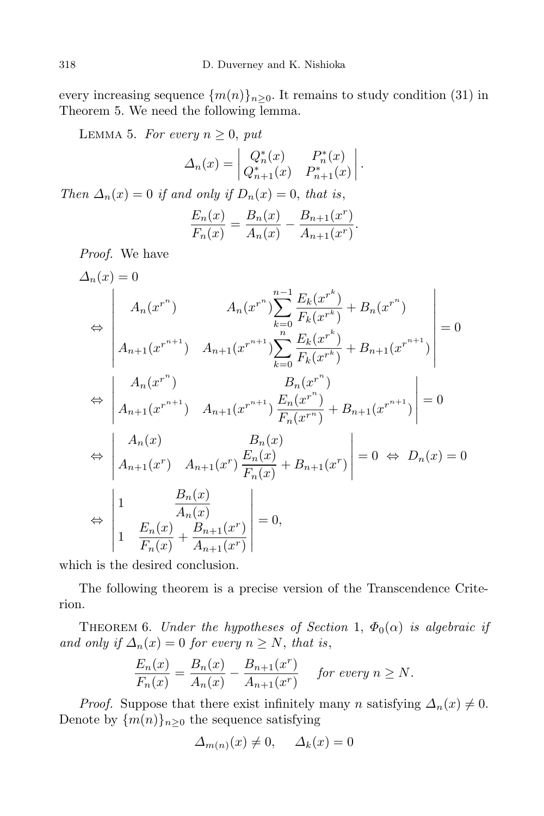every increasing sequence  $\{m(n)\}_{n\geq 0}$ . It remains to study condition (31) in Theorem 5. We need the following lemma.

LEMMA 5. For every  $n \geq 0$ , put

$$
\Delta_n(x) = \begin{vmatrix} Q_n^*(x) & P_n^*(x) \\ Q_{n+1}^*(x) & P_{n+1}^*(x) \end{vmatrix}.
$$

*Then*  $\Delta_n(x) = 0$  *if and only if*  $D_n(x) = 0$ *, that is,* 

$$
\frac{E_n(x)}{F_n(x)} = \frac{B_n(x)}{A_n(x)} - \frac{B_{n+1}(x^r)}{A_{n+1}(x^r)}.
$$

*Proof.* We have

$$
\Delta_n(x) = 0
$$
\n
$$
\Leftrightarrow \begin{vmatrix}\nA_n(x^{r^n}) & A_n(x^{r^n}) \sum_{k=0}^{n-1} \frac{E_k(x^{r^k})}{F_k(x^{r^k})} + B_n(x^{r^n}) \\
A_{n+1}(x^{r^{n+1}}) & A_{n+1}(x^{r^{n+1}}) \sum_{k=0}^{n} \frac{E_k(x^{r^k})}{F_k(x^{r^k})} + B_{n+1}(x^{r^{n+1}})\n\end{vmatrix} = 0
$$
\n
$$
\Leftrightarrow \begin{vmatrix}\nA_n(x^{r^n}) & B_n(x^{r^n}) \\
A_{n+1}(x^{r^{n+1}}) & A_{n+1}(x^{r^{n+1}}) \frac{E_n(x^{r^n})}{F_n(x^{r^n})} + B_{n+1}(x^{r^{n+1}})\n\end{vmatrix} = 0
$$
\n
$$
\Leftrightarrow \begin{vmatrix}\nA_n(x) & B_n(x) \\
A_{n+1}(x^r) & A_{n+1}(x^r) \frac{E_n(x)}{F_n(x)} + B_{n+1}(x^r)\n\end{vmatrix} = 0 \Leftrightarrow D_n(x) = 0
$$
\n
$$
\Leftrightarrow \begin{vmatrix}\n1 & \frac{B_n(x)}{A_n(x)} \\
1 & \frac{E_n(x)}{F_n(x)} + \frac{B_{n+1}(x^r)}{A_{n+1}(x^r)}\n\end{vmatrix} = 0,
$$

which is the desired conclusion.

The following theorem is a precise version of the Transcendence Criterion.

THEOREM 6. *Under the hypotheses of Section* 1,  $\Phi_0(\alpha)$  *is algebraic if and only if*  $\Delta_n(x) = 0$  *for every*  $n \geq N$ , *that is*,

$$
\frac{E_n(x)}{F_n(x)} = \frac{B_n(x)}{A_n(x)} - \frac{B_{n+1}(x^r)}{A_{n+1}(x^r)} \quad \text{ for every } n \ge N.
$$

*Proof.* Suppose that there exist infinitely many *n* satisfying  $\Delta_n(x) \neq 0$ . Denote by  $\{m(n)\}_{n\geq 0}$  the sequence satisfying

$$
\Delta_{m(n)}(x) \neq 0, \quad \Delta_k(x) = 0
$$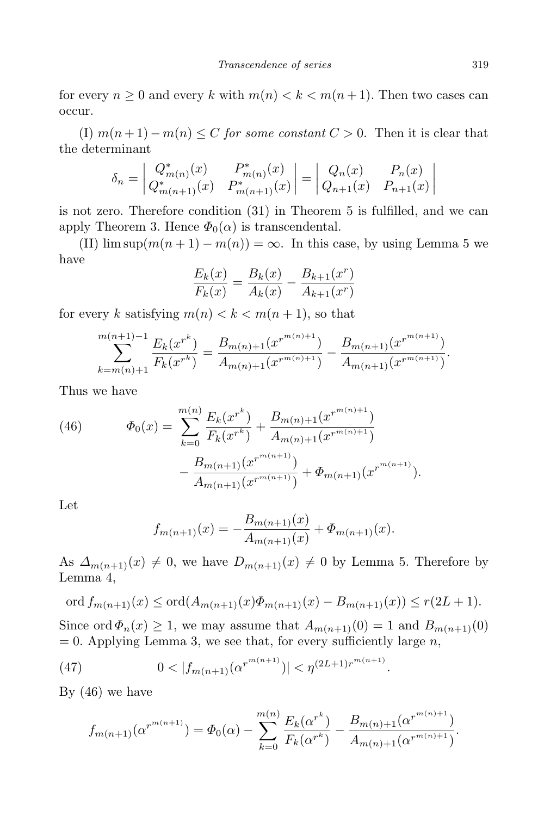for every  $n \geq 0$  and every k with  $m(n) < k < m(n+1)$ . Then two cases can occur.

(I)  $m(n+1) - m(n) \leq C$  *for some constant*  $C > 0$ . Then it is clear that the determinant

$$
\delta_n = \begin{vmatrix} Q^*_{m(n)}(x) & P^*_{m(n)}(x) \\ Q^*_{m(n+1)}(x) & P^*_{m(n+1)}(x) \end{vmatrix} = \begin{vmatrix} Q_n(x) & P_n(x) \\ Q_{n+1}(x) & P_{n+1}(x) \end{vmatrix}
$$

is not zero. Therefore condition (31) in Theorem 5 is fulfilled, and we can apply Theorem 3. Hence  $\Phi_0(\alpha)$  is transcendental.

(II)  $\limsup(m(n+1) - m(n)) = \infty$ . In this case, by using Lemma 5 we have

$$
\frac{E_k(x)}{F_k(x)} = \frac{B_k(x)}{A_k(x)} - \frac{B_{k+1}(x^r)}{A_{k+1}(x^r)}
$$

for every *k* satisfying  $m(n) < k < m(n+1)$ , so that

$$
\sum_{k=m(n)+1}^{m(n+1)-1} \frac{E_k(x^{r^k})}{F_k(x^{r^k})} = \frac{B_{m(n)+1}(x^{r^{m(n)+1}})}{A_{m(n)+1}(x^{r^{m(n)+1}})} - \frac{B_{m(n+1)}(x^{r^{m(n+1)}})}{A_{m(n+1)}(x^{r^{m(n+1)}})}.
$$

Thus we have

(46) 
$$
\Phi_0(x) = \sum_{k=0}^{m(n)} \frac{E_k(x^{r^k})}{F_k(x^{r^k})} + \frac{B_{m(n)+1}(x^{r^{m(n)+1}})}{A_{m(n)+1}(x^{r^{m(n)+1}})} - \frac{B_{m(n+1)}(x^{r^{m(n+1)}})}{A_{m(n+1)}(x^{r^{m(n+1)}})} + \Phi_{m(n+1)}(x^{r^{m(n+1)}}).
$$

Let

$$
f_{m(n+1)}(x) = -\frac{B_{m(n+1)}(x)}{A_{m(n+1)}(x)} + \Phi_{m(n+1)}(x).
$$

As  $\Delta_{m(n+1)}(x) \neq 0$ , we have  $D_{m(n+1)}(x) \neq 0$  by Lemma 5. Therefore by Lemma 4,

$$
\text{ord}\, f_{m(n+1)}(x) \le \text{ord}(A_{m(n+1)}(x)\Phi_{m(n+1)}(x) - B_{m(n+1)}(x)) \le r(2L+1).
$$

Since ord  $\Phi_n(x) \geq 1$ , we may assume that  $A_{m(n+1)}(0) = 1$  and  $B_{m(n+1)}(0)$  $= 0.$  Applying Lemma 3, we see that, for every sufficiently large *n*,

(47) 
$$
0 < |f_{m(n+1)}(\alpha^{r^{m(n+1)}})| < \eta^{(2L+1)r^{m(n+1)}}.
$$

By (46) we have

$$
f_{m(n+1)}(\alpha^{r^{m(n+1)}}) = \Phi_0(\alpha) - \sum_{k=0}^{m(n)} \frac{E_k(\alpha^{r^k})}{F_k(\alpha^{r^k})} - \frac{B_{m(n)+1}(\alpha^{r^{m(n)+1}})}{A_{m(n)+1}(\alpha^{r^{m(n)+1}})}.
$$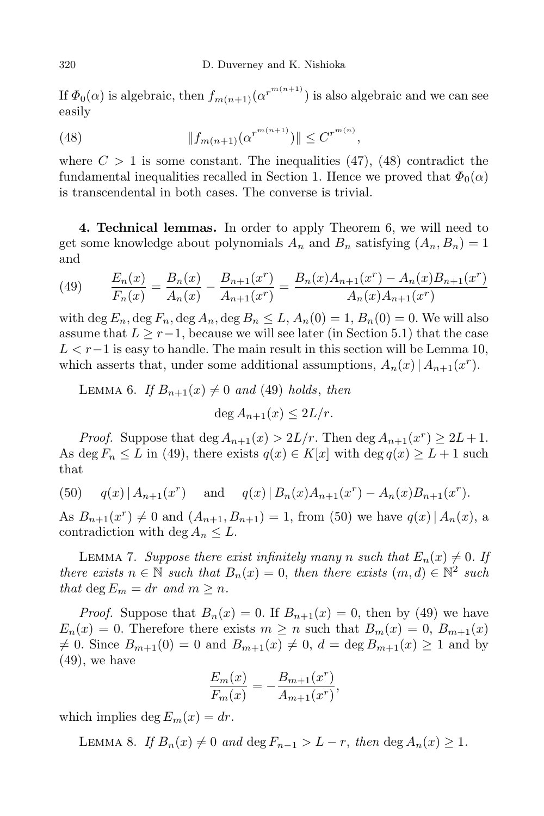If  $\Phi_0(\alpha)$  is algebraic, then  $f_{m(n+1)}(\alpha^{r^{m(n+1)}})$  is also algebraic and we can see easily

(48) 
$$
||f_{m(n+1)}(\alpha^{r^{m(n+1)}})|| \leq C^{r^{m(n)}},
$$

where  $C > 1$  is some constant. The inequalities  $(47)$ ,  $(48)$  contradict the fundamental inequalities recalled in Section 1. Hence we proved that  $\Phi_0(\alpha)$ is transcendental in both cases. The converse is trivial.

**4. Technical lemmas.** In order to apply Theorem 6, we will need to get some knowledge about polynomials  $A_n$  and  $B_n$  satisfying  $(A_n, B_n) = 1$ and

(49) 
$$
\frac{E_n(x)}{F_n(x)} = \frac{B_n(x)}{A_n(x)} - \frac{B_{n+1}(x^r)}{A_{n+1}(x^r)} = \frac{B_n(x)A_{n+1}(x^r) - A_n(x)B_{n+1}(x^r)}{A_n(x)A_{n+1}(x^r)}
$$

with deg  $E_n$ , deg  $F_n$ , deg  $A_n$ , deg  $B_n \leq L$ ,  $A_n(0) = 1$ ,  $B_n(0) = 0$ . We will also assume that  $L \geq r-1$ , because we will see later (in Section 5.1) that the case *L < r−*1 is easy to handle. The main result in this section will be Lemma 10, which asserts that, under some additional assumptions,  $A_n(x) | A_{n+1}(x^r)$ .

LEMMA 6. *If*  $B_{n+1}(x) \neq 0$  *and* (49) *holds*, *then* 

$$
\deg A_{n+1}(x) \le 2L/r.
$$

*Proof.* Suppose that  $\deg A_{n+1}(x) > 2L/r$ . Then  $\deg A_{n+1}(x^r) \ge 2L+1$ . As deg  $F_n \leq L$  in (49), there exists  $q(x) \in K[x]$  with deg  $q(x) \geq L+1$  such that

(50) 
$$
q(x) | A_{n+1}(x^r)
$$
 and  $q(x) | B_n(x)A_{n+1}(x^r) - A_n(x)B_{n+1}(x^r)$ .

As  $B_{n+1}(x^r) \neq 0$  and  $(A_{n+1}, B_{n+1}) = 1$ , from (50) we have  $q(x) | A_n(x)$ , a contradiction with deg  $A_n \leq L$ .

LEMMA 7. *Suppose there exist infinitely many n such* that  $E_n(x) \neq 0$ . If *there exists*  $n \in \mathbb{N}$  *such that*  $B_n(x) = 0$ , *then there exists*  $(m, d) \in \mathbb{N}^2$  *such that*  $\deg E_m = dr$  *and*  $m \geq n$ *.* 

*Proof.* Suppose that  $B_n(x) = 0$ . If  $B_{n+1}(x) = 0$ , then by (49) we have  $E_n(x) = 0$ . Therefore there exists  $m \geq n$  such that  $B_m(x) = 0$ ,  $B_{m+1}(x)$  $f \neq 0$ . Since  $B_{m+1}(0) = 0$  and  $B_{m+1}(x) \neq 0$ ,  $d = \deg B_{m+1}(x) \geq 1$  and by (49), we have

$$
\frac{E_m(x)}{F_m(x)} = -\frac{B_{m+1}(x^r)}{A_{m+1}(x^r)},
$$

which implies deg  $E_m(x) = dr$ .

LEMMA 8. *If*  $B_n(x) \neq 0$  and  $\deg F_{n-1} > L - r$ , then  $\deg A_n(x) \geq 1$ .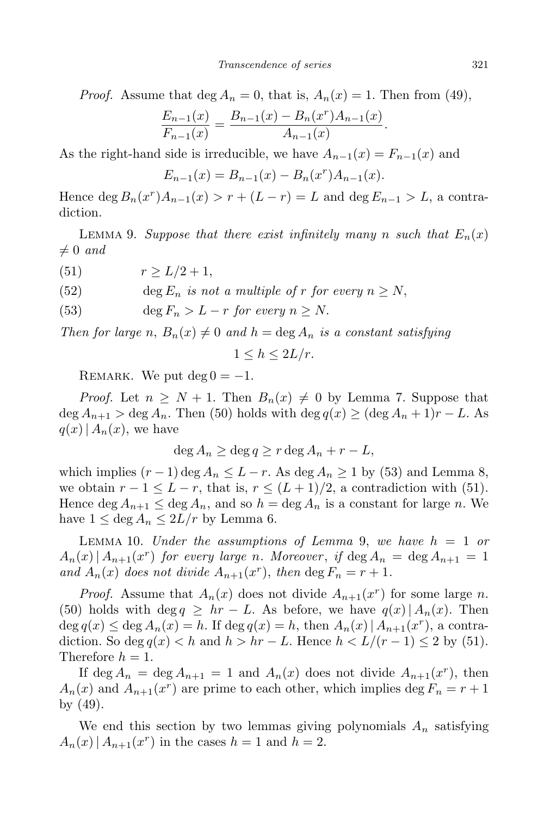*Proof.* Assume that  $\deg A_n = 0$ , that is,  $A_n(x) = 1$ . Then from (49),

$$
\frac{E_{n-1}(x)}{F_{n-1}(x)} = \frac{B_{n-1}(x) - B_n(x^r)A_{n-1}(x)}{A_{n-1}(x)}
$$

As the right-hand side is irreducible, we have  $A_{n-1}(x) = F_{n-1}(x)$  and

$$
E_{n-1}(x) = B_{n-1}(x) - B_n(x^r)A_{n-1}(x).
$$

Hence  $\deg B_n(x^r)A_{n-1}(x) > r + (L - r) = L$  and  $\deg E_{n-1} > L$ , a contradiction.

LEMMA 9. *Suppose that there exist infinitely many n such that*  $E_n(x)$  $\neq 0$  *and* 

(51)  $r > L/2 + 1$ ,

(52) deg  $E_n$  *is not a multiple of r for every*  $n \geq N$ ,

(53) 
$$
\deg F_n > L - r \text{ for every } n \geq N.
$$

*Then for large n*,  $B_n(x) \neq 0$  *and*  $h = \deg A_n$  *is a constant satisfying* 

$$
1 \le h \le 2L/r.
$$

REMARK. We put  $\deg 0 = -1$ .

*Proof.* Let  $n \geq N + 1$ . Then  $B_n(x) \neq 0$  by Lemma 7. Suppose that  $\deg A_{n+1} > \deg A_n$ . Then (50) holds with  $\deg q(x) \geq (\deg A_n + 1)r - L$ . As  $q(x) | A_n(x)$ , we have

$$
\deg A_n \ge \deg q \ge r \deg A_n + r - L,
$$

which implies  $(r-1)$  deg  $A_n \leq L - r$ . As deg  $A_n \geq 1$  by (53) and Lemma 8, we obtain  $r - 1 \leq L - r$ , that is,  $r \leq (L + 1)/2$ , a contradiction with (51). Hence deg  $A_{n+1} \leq \deg A_n$ , and so  $h = \deg A_n$  is a constant for large *n*. We have  $1 \leq \text{deg } A_n \leq 2L/r$  by Lemma 6.

LEMMA 10. *Under the assumptions of Lemma 9, we have*  $h = 1$  *or*  $A_n(x) | A_{n+1}(x^r)$  for every large *n*. Moreover, if  $\deg A_n = \deg A_{n+1} = 1$ *and*  $A_n(x)$  *does not divide*  $A_{n+1}(x^r)$ *, then* deg  $F_n = r + 1$ *.* 

*Proof.* Assume that  $A_n(x)$  does not divide  $A_{n+1}(x^r)$  for some large *n*. (50) holds with deg  $q \geq hr - L$ . As before, we have  $q(x) | A_n(x)$ . Then deg  $q(x) \leq$  deg  $A_n(x) = h$ . If deg  $q(x) = h$ , then  $A_n(x) | A_{n+1}(x^r)$ , a contradiction. So deg  $q(x)$  < *h* and  $h > hr - L$ . Hence  $h < L/(r-1) \leq 2$  by (51). Therefore  $h = 1$ .

If deg  $A_n = \deg A_{n+1} = 1$  and  $A_n(x)$  does not divide  $A_{n+1}(x^r)$ , then  $A_n(x)$  and  $A_{n+1}(x^r)$  are prime to each other, which implies deg  $F_n = r + 1$ by (49).

We end this section by two lemmas giving polynomials  $A_n$  satisfying  $A_n(x) | A_{n+1}(x^r)$  in the cases  $h = 1$  and  $h = 2$ .

*.*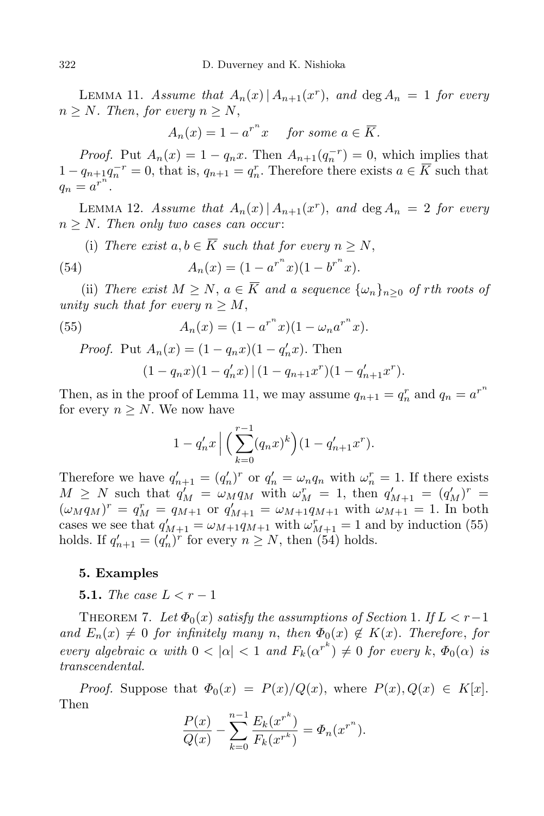LEMMA 11. *Assume that*  $A_n(x) | A_{n+1}(x^r)$ , and  $\deg A_n = 1$  for every  $n \geq N$ *. Then, for every*  $n \geq N$ ,

$$
A_n(x) = 1 - a^{r^n} x \quad \text{for some } a \in \overline{K}.
$$

*Proof.* Put  $A_n(x) = 1 - q_n x$ . Then  $A_{n+1}(q_n^{-r}) = 0$ , which implies that  $1 - q_{n+1}q_{n}^{-r} = 0$ , that is,  $q_{n+1} = q_{n}^{r}$ . Therefore there exists  $a \in \overline{K}$  such that  $q_n = a^{r^n}$ .

LEMMA 12. *Assume that*  $A_n(x) | A_{n+1}(x^r)$ , and  $\deg A_n = 2$  for every  $n \geq N$ *. Then only two cases can occur*:

(i) There exist 
$$
a, b \in K
$$
 such that for every  $n \ge N$ ,  
(54) 
$$
A_n(x) = (1 - a^{r^n}x)(1 - b^{r^n}x).
$$

(ii) *There exist*  $M \geq N$ ,  $a \in \overline{K}$  *and a sequence*  $\{\omega_n\}_{n\geq 0}$  *of rth roots of unity such that for every*  $n \geq M$ ,

(55) 
$$
A_n(x) = (1 - a^{r^n} x)(1 - \omega_n a^{r^n} x).
$$

*Proof.* Put 
$$
A_n(x) = (1 - q_n x)(1 - q'_n x)
$$
. Then  
\n
$$
(1 - q_n x)(1 - q'_n x) | (1 - q_{n+1} x^r)(1 - q'_{n+1} x^r).
$$

Then, as in the proof of Lemma 11, we may assume  $q_{n+1} = q_n^r$  and  $q_n = a^{r^n}$ for every  $n \geq N$ . We now have

$$
1 - q'_n x \Big| \Big( \sum_{k=0}^{r-1} (q_n x)^k \Big) (1 - q'_{n+1} x^r).
$$

Therefore we have  $q'_{n+1} = (q'_n)^r$  or  $q'_n = \omega_n q_n$  with  $\omega_n^r = 1$ . If there exists  $M \geq N$  such that  $q_M' = \omega_M q_M$  with  $\omega_M^r = 1$ , then  $q_{M+1}' = (q_M')^r = 1$  $(\omega_M q_M)^r = q_M^r = q_{M+1}$  or  $q'_{M+1} = \omega_{M+1} q_{M+1}$  with  $\omega_{M+1} = 1$ . In both cases we see that  $q'_{M+1} = \omega_{M+1} q_{M+1}$  with  $\omega_{M+1}^r = 1$  and by induction (55) holds. If  $q'_{n+1} = (q'_n)^r$  for every  $n \ge N$ , then (54) holds.

## **5. Examples**

**5.1.** *The case*  $L < r - 1$ 

THEOREM 7. Let  $\Phi_0(x)$  *satisfy* the *assumptions* of *Section* 1*.* If  $L < r-1$ *and*  $E_n(x) \neq 0$  *for infinitely many n*, *then*  $\Phi_0(x) \notin K(x)$ *. Therefore, for* every algebraic  $\alpha$  with  $0 < |\alpha| < 1$  and  $F_k(\alpha^{r^k}) \neq 0$  for every k,  $\Phi_0(\alpha)$  is *transcendental.*

*Proof.* Suppose that  $\Phi_0(x) = P(x)/Q(x)$ , where  $P(x), Q(x) \in K[x]$ . Then

$$
\frac{P(x)}{Q(x)} - \sum_{k=0}^{n-1} \frac{E_k(x^{r^k})}{F_k(x^{r^k})} = \Phi_n(x^{r^n}).
$$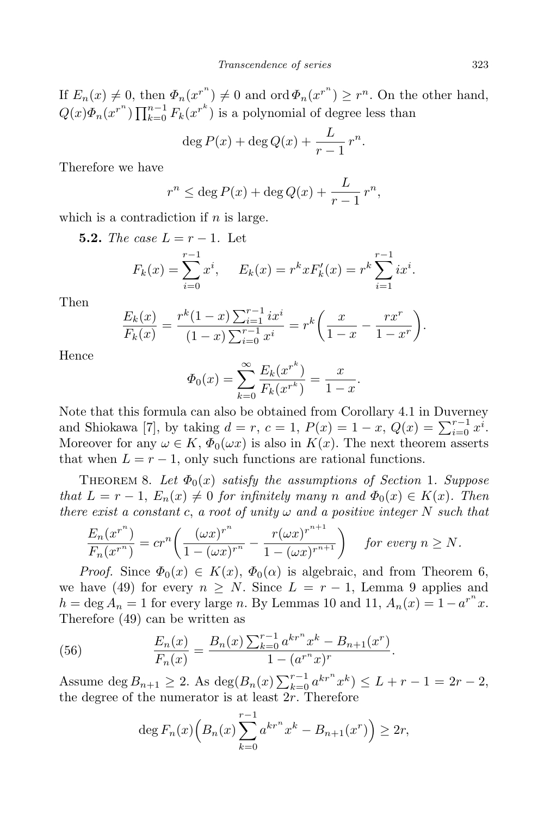If  $E_n(x) \neq 0$ , then  $\Phi_n(x^{r^n}) \neq 0$  and ord  $\Phi_n(x^{r^n}) \geq r^n$ . On the other hand,  $Q(x)\Phi_n(x^{r^n})\prod_{k=0}^{n-1}F_k(x^{r^k})$  is a polynomial of degree less than

$$
\deg P(x) + \deg Q(x) + \frac{L}{r-1}r^n.
$$

Therefore we have

$$
r^{n} \leq \deg P(x) + \deg Q(x) + \frac{L}{r-1} r^{n},
$$

which is a contradiction if *n* is large.

**5.2.** *The case*  $L = r - 1$ . Let

$$
F_k(x) = \sum_{i=0}^{r-1} x^i, \quad E_k(x) = r^k x F'_k(x) = r^k \sum_{i=1}^{r-1} ix^i.
$$

Then

$$
\frac{E_k(x)}{F_k(x)} = \frac{r^k(1-x)\sum_{i=1}^{r-1}ix^i}{(1-x)\sum_{i=0}^{r-1}x^i} = r^k\bigg(\frac{x}{1-x} - \frac{rx^r}{1-x^r}\bigg).
$$

Hence

$$
\Phi_0(x) = \sum_{k=0}^{\infty} \frac{E_k(x^{r^k})}{F_k(x^{r^k})} = \frac{x}{1-x}.
$$

Note that this formula can also be obtained from Corollary 4.1 in Duverney and Shiokawa [7], by taking  $d = r$ ,  $c = 1$ ,  $P(x) = 1 - x$ ,  $Q(x) = \sum_{i=0}^{r-1} x^{i}$ . Moreover for any  $\omega \in K$ ,  $\Phi_0(\omega x)$  is also in  $K(x)$ . The next theorem asserts that when  $L = r - 1$ , only such functions are rational functions.

THEOREM 8. Let  $\Phi_0(x)$  *satisfy* the *assumptions* of *Section* 1. Suppose *that*  $L = r - 1$ ,  $E_n(x) \neq 0$  *for infinitely many n* and  $\Phi_0(x) \in K(x)$ *. Then there exist a constant c*, *a root of unity*  $\omega$  *and a positive integer*  $N$  *such that* 

$$
\frac{E_n(x^{r^n})}{F_n(x^{r^n})} = cr^n\left(\frac{(\omega x)^{r^n}}{1 - (\omega x)^{r^n}} - \frac{r(\omega x)^{r^{n+1}}}{1 - (\omega x)^{r^{n+1}}}\right) \quad \text{for every } n \ge N.
$$

*Proof.* Since  $\Phi_0(x) \in K(x)$ ,  $\Phi_0(\alpha)$  is algebraic, and from Theorem 6, we have (49) for every  $n \geq N$ . Since  $L = r - 1$ , Lemma 9 applies and  $h = \deg A_n = 1$  for every large *n*. By Lemmas 10 and 11,  $A_n(x) = 1 - a^{r^n}x$ . Therefore (49) can be written as

(56) 
$$
\frac{E_n(x)}{F_n(x)} = \frac{B_n(x) \sum_{k=0}^{r-1} a^{kr^n} x^k - B_{n+1}(x^r)}{1 - (a^{r^n} x)^r}.
$$

Assume deg  $B_{n+1} \geq 2$ . As deg $(B_n(x) \sum_{k=0}^{r-1} a^{kr^n} x^k) \leq L + r - 1 = 2r - 2$ , the degree of the numerator is at least 2*r*. Therefore

$$
\deg F_n(x) \Big( B_n(x) \sum_{k=0}^{r-1} a^{kr^n} x^k - B_{n+1}(x^r) \Big) \ge 2r,
$$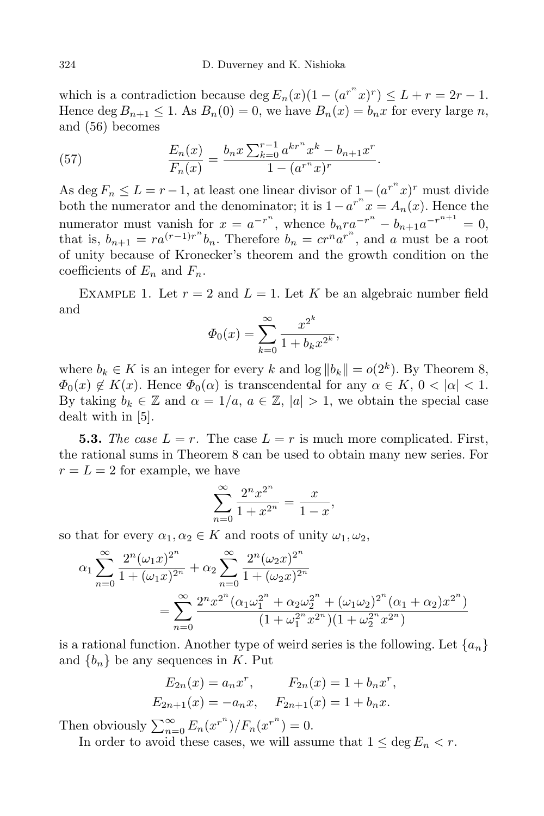which is a contradiction because deg  $E_n(x)(1 - (a^{r^n}x)^r) \leq L + r = 2r - 1$ . Hence deg  $B_{n+1} \leq 1$ . As  $B_n(0) = 0$ , we have  $B_n(x) = b_n x$  for every large *n*, and (56) becomes

(57) 
$$
\frac{E_n(x)}{F_n(x)} = \frac{b_n x \sum_{k=0}^{r-1} a^{kr^n} x^k - b_{n+1} x^r}{1 - (a^{r^n} x)^r}.
$$

As deg  $F_n \leq L = r - 1$ , at least one linear divisor of  $1 - (a^{r^n}x)^r$  must divide both the numerator and the denominator; it is  $1 - a^{r^n} x = A_n(x)$ . Hence the numerator must vanish for  $x = a^{-r^n}$ , whence  $b_n r a^{-r^n} - b_{n+1} a^{-r^{n+1}} = 0$ , that is,  $b_{n+1} = ra^{(r-1)r^n}b_n$ . Therefore  $b_n = cr^n a^{r^n}$ , and *a* must be a root of unity because of Kronecker's theorem and the growth condition on the coefficients of  $E_n$  and  $F_n$ .

EXAMPLE 1. Let  $r = 2$  and  $L = 1$ . Let K be an algebraic number field and

$$
\Phi_0(x) = \sum_{k=0}^{\infty} \frac{x^{2^k}}{1 + b_k x^{2^k}},
$$

where  $b_k \in K$  is an integer for every k and  $\log ||b_k|| = o(2^k)$ . By Theorem 8,  $\Phi_0(x) \notin K(x)$ . Hence  $\Phi_0(\alpha)$  is transcendental for any  $\alpha \in K$ ,  $0 < |\alpha| < 1$ . By taking  $b_k \in \mathbb{Z}$  and  $\alpha = 1/a$ ,  $a \in \mathbb{Z}$ ,  $|a| > 1$ , we obtain the special case dealt with in [5].

**5.3.** The case  $L = r$ . The case  $L = r$  is much more complicated. First, the rational sums in Theorem 8 can be used to obtain many new series. For  $r = L = 2$  for example, we have

$$
\sum_{n=0}^{\infty} \frac{2^n x^{2^n}}{1 + x^{2^n}} = \frac{x}{1 - x},
$$

so that for every  $\alpha_1, \alpha_2 \in K$  and roots of unity  $\omega_1, \omega_2$ ,

$$
\alpha_1 \sum_{n=0}^{\infty} \frac{2^n (\omega_1 x)^{2^n}}{1 + (\omega_1 x)^{2^n}} + \alpha_2 \sum_{n=0}^{\infty} \frac{2^n (\omega_2 x)^{2^n}}{1 + (\omega_2 x)^{2^n}}
$$

$$
= \sum_{n=0}^{\infty} \frac{2^n x^{2^n} (\alpha_1 \omega_1^{2^n} + \alpha_2 \omega_2^{2^n} + (\omega_1 \omega_2)^{2^n} (\alpha_1 + \alpha_2) x^{2^n})}{(1 + \omega_1^{2^n} x^{2^n})(1 + \omega_2^{2^n} x^{2^n})}
$$

is a rational function. Another type of weird series is the following. Let  $\{a_n\}$ and  ${b_n}$  be any sequences in *K*. Put

$$
E_{2n}(x) = a_n x^n
$$
,  $F_{2n}(x) = 1 + b_n x^n$ ,  
\n $E_{2n+1}(x) = -a_n x$ ,  $F_{2n+1}(x) = 1 + b_n x$ .

Then obviously  $\sum_{n=0}^{\infty} E_n(x^{r^n})/F_n(x^{r^n}) = 0.$ 

In order to avoid these cases, we will assume that  $1 \leq \deg E_n < r$ .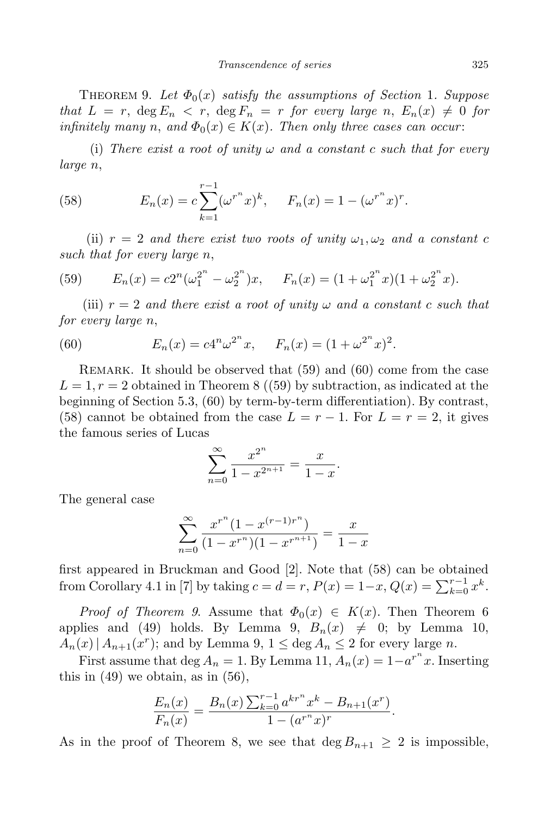THEOREM 9. Let  $\Phi_0(x)$  *satisfy* the *assumptions* of *Section* 1. Suppose *that*  $L = r$ ,  $\deg E_n < r$ ,  $\deg F_n = r$  *for every large n*,  $E_n(x) \neq 0$  *for*  $\inf\{m\}$  *many n*, and  $\Phi_0(x) \in K(x)$ . Then only three cases can occur:

(i) *There exist a root of unity*  $\omega$  *and a constant c such that for every large n*,

(58) 
$$
E_n(x) = c \sum_{k=1}^{r-1} (\omega^{r^n} x)^k, \quad F_n(x) = 1 - (\omega^{r^n} x)^r.
$$

(ii)  $r = 2$  *and there exist two roots of unity*  $\omega_1, \omega_2$  *and a constant c such that for every large n*,

(59) 
$$
E_n(x) = c2^n(\omega_1^{2^n} - \omega_2^{2^n})x, \quad F_n(x) = (1 + \omega_1^{2^n}x)(1 + \omega_2^{2^n}x).
$$

(iii)  $r = 2$  *and there exist a root of unity*  $\omega$  *and a constant c such that for every large n*,

(60) 
$$
E_n(x) = c4^n \omega^{2^n} x, \quad F_n(x) = (1 + \omega^{2^n} x)^2.
$$

Remark. It should be observed that (59) and (60) come from the case  $L = 1, r = 2$  obtained in Theorem 8 ((59) by subtraction, as indicated at the beginning of Section 5.3, (60) by term-by-term differentiation). By contrast, (58) cannot be obtained from the case  $L = r - 1$ . For  $L = r = 2$ , it gives the famous series of Lucas

$$
\sum_{n=0}^{\infty} \frac{x^{2^n}}{1 - x^{2^{n+1}}} = \frac{x}{1 - x}.
$$

The general case

$$
\sum_{n=0}^{\infty} \frac{x^{r^n} (1 - x^{(r-1)r^n})}{(1 - x^{r^n})(1 - x^{r^{n+1}})} = \frac{x}{1 - x}
$$

first appeared in Bruckman and Good [2]. Note that (58) can be obtained from Corollary 4.1 in [7] by taking  $c = d = r$ ,  $P(x) = 1-x$ ,  $Q(x) = \sum_{k=0}^{r-1} x^k$ .

*Proof of Theorem* 9. Assume that  $\Phi_0(x) \in K(x)$ . Then Theorem 6 applies and (49) holds. By Lemma 9,  $B_n(x) \neq 0$ ; by Lemma 10,  $A_n(x) | A_{n+1}(x^r)$ ; and by Lemma 9,  $1 \leq \deg A_n \leq 2$  for every large *n*.

First assume that deg  $A_n = 1$ . By Lemma 11,  $A_n(x) = 1 - a^{r^n}x$ . Inserting this in  $(49)$  we obtain, as in  $(56)$ ,

$$
\frac{E_n(x)}{F_n(x)} = \frac{B_n(x) \sum_{k=0}^{r-1} a^{kr^n} x^k - B_{n+1}(x^r)}{1 - (a^{r^n} x)^r}.
$$

As in the proof of Theorem 8, we see that  $\deg B_{n+1} \geq 2$  is impossible,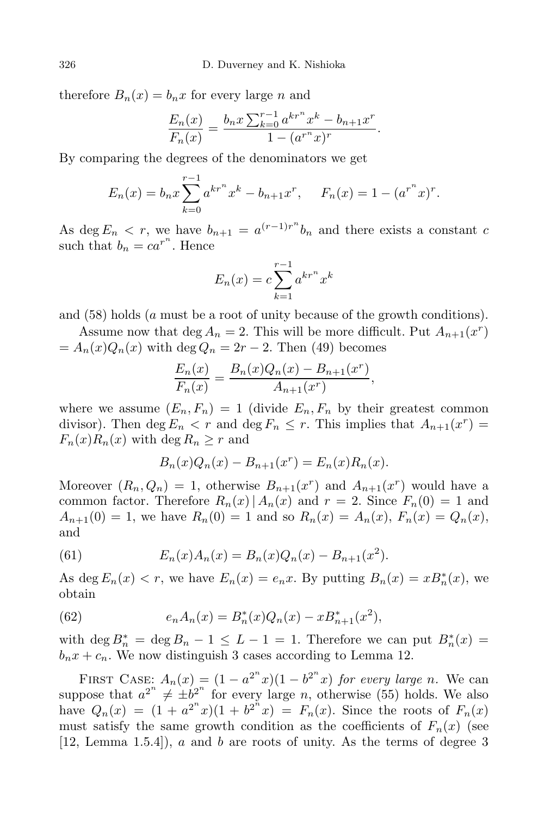therefore  $B_n(x) = b_n x$  for every large *n* and

$$
\frac{E_n(x)}{F_n(x)} = \frac{b_n x \sum_{k=0}^{r-1} a^{kr^n} x^k - b_{n+1} x^r}{1 - (a^{r^n} x)^r}.
$$

By comparing the degrees of the denominators we get

$$
E_n(x) = b_n x \sum_{k=0}^{r-1} a^{kr^n} x^k - b_{n+1} x^r, \quad F_n(x) = 1 - (a^{r^n} x)^r.
$$

As deg  $E_n < r$ , we have  $b_{n+1} = a^{(r-1)r^n}b_n$  and there exists a constant *c* such that  $b_n = ca^{r^n}$ . Hence

$$
E_n(x) = c \sum_{k=1}^{r-1} a^{kr^n} x^k
$$

and (58) holds (*a* must be a root of unity because of the growth conditions).

Assume now that  $\deg A_n = 2$ . This will be more difficult. Put  $A_{n+1}(x^r)$  $= A_n(x)Q_n(x)$  with deg  $Q_n = 2r - 2$ . Then (49) becomes

$$
\frac{E_n(x)}{F_n(x)} = \frac{B_n(x)Q_n(x) - B_{n+1}(x^r)}{A_{n+1}(x^r)},
$$

where we assume  $(E_n, F_n) = 1$  (divide  $E_n, F_n$  by their greatest common divisor). Then deg  $E_n < r$  and deg  $F_n \leq r$ . This implies that  $A_{n+1}(x^r) =$  $F_n(x)R_n(x)$  with deg  $R_n \geq r$  and

$$
B_n(x)Q_n(x) - B_{n+1}(x^r) = E_n(x)R_n(x).
$$

Moreover  $(R_n, Q_n) = 1$ , otherwise  $B_{n+1}(x^r)$  and  $A_{n+1}(x^r)$  would have a common factor. Therefore  $R_n(x) | A_n(x)$  and  $r = 2$ . Since  $F_n(0) = 1$  and  $A_{n+1}(0) = 1$ , we have  $R_n(0) = 1$  and so  $R_n(x) = A_n(x)$ ,  $F_n(x) = Q_n(x)$ , and

(61) 
$$
E_n(x)A_n(x) = B_n(x)Q_n(x) - B_{n+1}(x^2).
$$

As deg  $E_n(x) < r$ , we have  $E_n(x) = e_n x$ . By putting  $B_n(x) = x B_n^*(x)$ , we obtain

(62) 
$$
e_n A_n(x) = B_n^*(x) Q_n(x) - x B_{n+1}^*(x^2),
$$

with deg  $B_n^* = \deg B_n - 1 \leq L - 1 = 1$ . Therefore we can put  $B_n^*(x) =$  $b_n x + c_n$ . We now distinguish 3 cases according to Lemma 12.

FIRST CASE:  $A_n(x) = (1 - a^{2^n}x)(1 - b^{2^n}x)$  for every large *n*. We can suppose that  $a^{2^n} \neq \pm b^{2^n}$  for every large *n*, otherwise (55) holds. We also have  $Q_n(x) = (1 + a^{2^n}x)(1 + b^{2^n}x) = F_n(x)$ . Since the roots of  $F_n(x)$ must satisfy the same growth condition as the coefficients of  $F_n(x)$  (see [12, Lemma 1.5.4]), *a* and *b* are roots of unity. As the terms of degree 3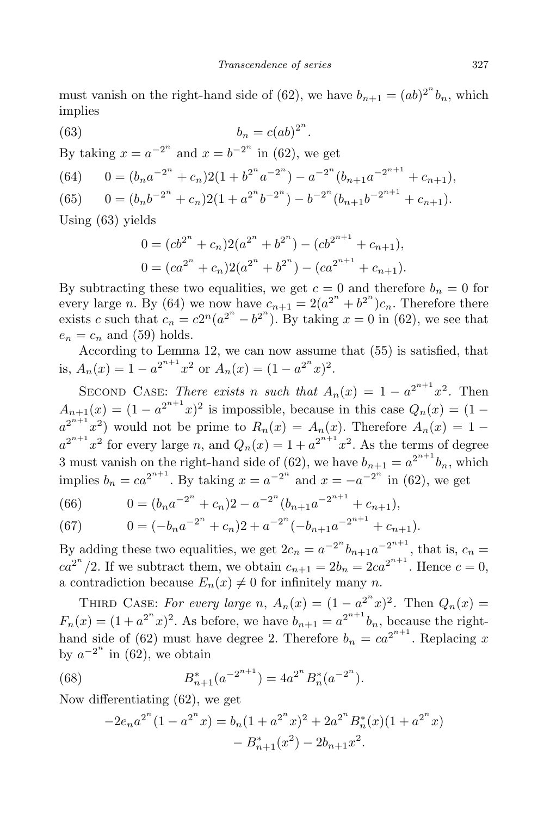must vanish on the right-hand side of (62), we have  $b_{n+1} = (ab)^{2^n} b_n$ , which implies

(63) 
$$
b_n = c(ab)^{2^n}.
$$

By taking  $x = a^{-2^n}$  and  $x = b^{-2^n}$  in (62), we get

(64) 
$$
0 = (b_n a^{-2^n} + c_n)2(1 + b^{2^n} a^{-2^n}) - a^{-2^n} (b_{n+1} a^{-2^{n+1}} + c_{n+1}),
$$
  
\n(65) 
$$
0 = (b_n b^{-2^n} + c_n)2(1 + a^{2^n} b^{-2^n}) - b^{-2^n} (b_{n+1} b^{-2^{n+1}} + c_{n+1}).
$$

Using (63) yields

$$
0 = (cb^{2^n} + c_n)2(a^{2^n} + b^{2^n}) - (cb^{2^{n+1}} + c_{n+1}),
$$
  
\n
$$
0 = (ca^{2^n} + c_n)2(a^{2^n} + b^{2^n}) - (ca^{2^{n+1}} + c_{n+1}).
$$

By subtracting these two equalities, we get  $c = 0$  and therefore  $b_n = 0$  for every large *n*. By (64) we now have  $c_{n+1} = 2(a^{2^n} + b^{2^n})c_n$ . Therefore there exists *c* such that  $c_n = c2^n(a^{2^n} - b^{2^n})$ . By taking  $x = 0$  in (62), we see that  $e_n = c_n$  and (59) holds.

According to Lemma 12, we can now assume that (55) is satisfied, that is,  $A_n(x) = 1 - a^{2^{n+1}}x^2$  or  $A_n(x) = (1 - a^{2^n}x)^2$ .

SECOND CASE: *There exists n such that*  $A_n(x) = 1 - a^{2^{n+1}}x^2$ . Then  $A_{n+1}(x) = (1 - a^{2^{n+1}}x)^2$  is impossible, because in this case  $Q_n(x) = (1 - a^{2^{n+1}}x)^2$  $a^{2^{n+1}}x^2$  would not be prime to  $R_n(x) = A_n(x)$ . Therefore  $A_n(x) = 1$  $a^{2^{n+1}}x^2$  for every large *n*, and  $Q_n(x) = 1 + a^{2^{n+1}}x^2$ . As the terms of degree 3 must vanish on the right-hand side of (62), we have  $b_{n+1} = a^{2^{n+1}}b_n$ , which implies  $b_n = ca^{2^{n+1}}$ . By taking  $x = a^{-2^n}$  and  $x = -a^{-2^n}$  in (62), we get

(66) 
$$
0 = (b_n a^{-2^n} + c_n)2 - a^{-2^n} (b_{n+1} a^{-2^{n+1}} + c_{n+1}),
$$

(67) 
$$
0 = (-b_n a^{-2^n} + c_n)2 + a^{-2^n} (-b_{n+1} a^{-2^{n+1}} + c_{n+1}).
$$

By adding these two equalities, we get  $2c_n = a^{-2^n}b_{n+1}a^{-2^{n+1}}$ , that is,  $c_n =$  $ca^{2^n}/2$ . If we subtract them, we obtain  $c_{n+1} = 2b_n = 2ca^{2^{n+1}}$ . Hence  $c = 0$ , a contradiction because  $E_n(x) \neq 0$  for infinitely many *n*.

THIRD CASE: *For every large n*,  $A_n(x) = (1 - a^2^n x)^2$ . Then  $Q_n(x) =$  $F_n(x) = (1 + a^{2^n}x)^2$ . As before, we have  $b_{n+1} = a^{2^{n+1}}b_n$ , because the righthand side of (62) must have degree 2. Therefore  $b_n = ca^{2^{n+1}}$ . Replacing *x* by  $a^{-2^n}$  in (62), we obtain

(68) 
$$
B_{n+1}^*(a^{-2^{n+1}}) = 4a^{2^n} B_n^*(a^{-2^n}).
$$

Now differentiating (62), we get

$$
-2e_na^{2^n}(1-a^{2^n}x) = b_n(1+a^{2^n}x)^2 + 2a^{2^n}B_n^*(x)(1+a^{2^n}x) - B_{n+1}^*(x^2) - 2b_{n+1}x^2.
$$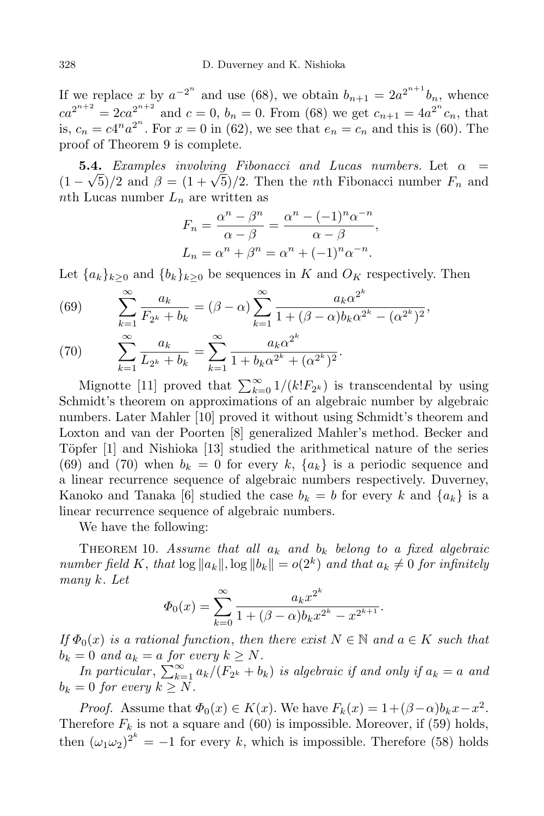If we replace x by  $a^{-2^n}$  and use (68), we obtain  $b_{n+1} = 2a^{2^{n+1}}b_n$ , whence  $ca^{2^{n+2}} = 2ca^{2^{n+2}}$  and  $c = 0$ ,  $b_n = 0$ . From (68) we get  $c_{n+1} = 4a^{2^n}c_n$ , that is,  $c_n = c4^n a^{2^n}$ . For  $x = 0$  in (62), we see that  $e_n = c_n$  and this is (60). The proof of Theorem 9 is complete.

**5.4.** *Examples involving Fibonacci and Lucas numbers*. Let  $\alpha =$  $(1 - \sqrt{5})/2$  and  $\beta = (1 + \sqrt{5})/2$ . Then the *n*th Fibonacci number  $F_n$  and *n*th Lucas number *L<sup>n</sup>* are written as

$$
F_n = \frac{\alpha^n - \beta^n}{\alpha - \beta} = \frac{\alpha^n - (-1)^n \alpha^{-n}}{\alpha - \beta},
$$
  

$$
L_n = \alpha^n + \beta^n = \alpha^n + (-1)^n \alpha^{-n}.
$$

Let  ${a_k}_{k>0}$  and  ${b_k}_{k>0}$  be sequences in *K* and  $O_K$  respectively. Then

(69) 
$$
\sum_{k=1}^{\infty} \frac{a_k}{F_{2^k} + b_k} = (\beta - \alpha) \sum_{k=1}^{\infty} \frac{a_k \alpha^{2^k}}{1 + (\beta - \alpha) b_k \alpha^{2^k} - (\alpha^{2^k})^2},
$$

$$
\sum_{k=1}^{\infty} \frac{a_k}{\alpha_k} = \sum_{k=1}^{\infty} \frac{a_k \alpha^{2^k}}{a_k \alpha^{2^k}}
$$

(70) 
$$
\sum_{k=1}^{\infty} \frac{a_k}{L_{2^k} + b_k} = \sum_{k=1}^{\infty} \frac{a_k \alpha^{2^k}}{1 + b_k \alpha^{2^k} + (\alpha^{2^k})^2}.
$$

Mignotte [11] proved that  $\sum_{k=0}^{\infty} 1/(k!F_{2^k})$  is transcendental by using Schmidt's theorem on approximations of an algebraic number by algebraic numbers. Later Mahler [10] proved it without using Schmidt's theorem and Loxton and van der Poorten [8] generalized Mahler's method. Becker and Töpfer  $[1]$  and Nishioka  $[13]$  studied the arithmetical nature of the series (69) and (70) when  $b_k = 0$  for every  $k, \{a_k\}$  is a periodic sequence and a linear recurrence sequence of algebraic numbers respectively. Duverney, Kanoko and Tanaka [6] studied the case  $b_k = b$  for every k and  $\{a_k\}$  is a linear recurrence sequence of algebraic numbers.

We have the following:

THEOREM 10. Assume that all  $a_k$  and  $b_k$  belong to a fixed algebraic number field K, that  $\log ||a_k||$ ,  $\log ||b_k|| = o(2^k)$  and that  $a_k \neq 0$  for infinitely *many k. Let*

$$
\Phi_0(x) = \sum_{k=0}^{\infty} \frac{a_k x^{2^k}}{1 + (\beta - \alpha)b_k x^{2^k} - x^{2^{k+1}}}.
$$

*If*  $\Phi_0(x)$  *is a rational function*, *then there exist*  $N \in \mathbb{N}$  *and*  $a \in K$  *such that*  $b_k = 0$  *and*  $a_k = a$  *for every*  $k \geq N$ *.* 

*In particular*,  $\sum_{k=1}^{\infty} a_k/(F_{2^k} + b_k)$  *is algebraic if and only if*  $a_k = a$  *and*  $b_k = 0$  *for every*  $k \geq N$ *.* 

*Proof.* Assume that  $\Phi_0(x) \in K(x)$ . We have  $F_k(x) = 1 + (\beta - \alpha)b_k x - x^2$ . Therefore  $F_k$  is not a square and (60) is impossible. Moreover, if (59) holds, then  $(\omega_1 \omega_2)^{2^k} = -1$  for every *k*, which is impossible. Therefore (58) holds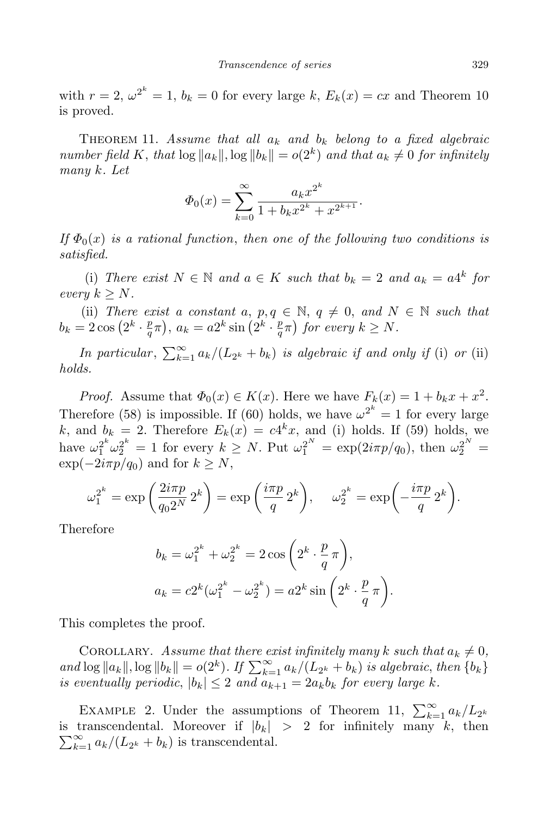with  $r = 2$ ,  $\omega^{2^k} = 1$ ,  $b_k = 0$  for every large  $k$ ,  $E_k(x) = cx$  and Theorem 10 is proved.

THEOREM 11. *Assume* that all  $a_k$  and  $b_k$  belong to a fixed algebraic number field K, that  $\log ||a_k||$ ,  $\log ||b_k|| = o(2^k)$  and that  $a_k \neq 0$  for infinitely *many k. Let*

$$
\Phi_0(x) = \sum_{k=0}^{\infty} \frac{a_k x^{2^k}}{1 + b_k x^{2^k} + x^{2^{k+1}}}.
$$

*If*  $\Phi_0(x)$  *is a rational function*, *then one of the following two conditions is satisfied.*

(i) *There exist*  $N \in \mathbb{N}$  *and*  $a \in K$  *such that*  $b_k = 2$  *and*  $a_k = a4^k$  *for*  $every \ k \geq N$ .

(ii) *There exist a constant a*,  $p, q \in \mathbb{N}$ ,  $q \neq 0$ , *and*  $N \in \mathbb{N}$  *such that*  $b_k = 2\cos\left(2^k \cdot \frac{p}{q}\right)$  $(\frac{p}{q}\pi)$ ,  $a_k = a2^k \sin\left(2^k \cdot \frac{p}{q}\right)$  $\left(\frac{p}{q}\pi\right)$  for every  $k \geq N$ .

*In particular*,  $\sum_{k=1}^{\infty} a_k/(L_{2^k} + b_k)$  *is algebraic if and only if* (i) *or* (ii) *holds.*

*Proof.* Assume that  $\Phi_0(x) \in K(x)$ . Here we have  $F_k(x) = 1 + b_k x + x^2$ . Therefore (58) is impossible. If (60) holds, we have  $\omega^{2^k} = 1$  for every large *k*, and  $b_k = 2$ . Therefore  $E_k(x) = c4^k x$ , and (i) holds. If (59) holds, we have  $\omega_1^{2^k} \omega_2^{2^k} = 1$  for every  $k \ge N$ . Put  $\omega_1^{2^N} = \exp(2i\pi p/q_0)$ , then  $\omega_2^{2^N} =$  $\exp(-2i\pi p/q_0)$  and for  $k \geq N$ ,

$$
\omega_1^{2^k} = \exp\left(\frac{2i\pi p}{q_0 2^N} 2^k\right) = \exp\left(\frac{i\pi p}{q} 2^k\right), \quad \omega_2^{2^k} = \exp\left(-\frac{i\pi p}{q} 2^k\right).
$$

Therefore

$$
b_k = \omega_1^{2^k} + \omega_2^{2^k} = 2\cos\left(2^k \cdot \frac{p}{q}\pi\right),
$$
  

$$
a_k = c2^k(\omega_1^{2^k} - \omega_2^{2^k}) = a2^k \sin\left(2^k \cdot \frac{p}{q}\pi\right).
$$

This completes the proof.

COROLLARY. Assume that there exist infinitely many  $k$  such that  $a_k \neq 0$ , and  $\log ||a_k||$ ,  $\log ||b_k|| = o(2^k)$ . If  $\sum_{k=1}^{\infty} a_k/(L_{2^k} + b_k)$  is algebraic, then  $\{b_k\}$ *is* eventually periodic,  $|b_k| \leq 2$  and  $a_{k+1} = 2a_kb_k$  for every large *k*.

EXAMPLE 2. Under the assumptions of Theorem 11,  $\sum_{k=1}^{\infty} a_k/L_{2^k}$  $\sum_{k=1}^{\infty} a_k / (L_{2^k} + b_k)$  is transcendental. is transcendental. Moreover if  $|b_k|$  > 2 for infinitely many  $k$ , then